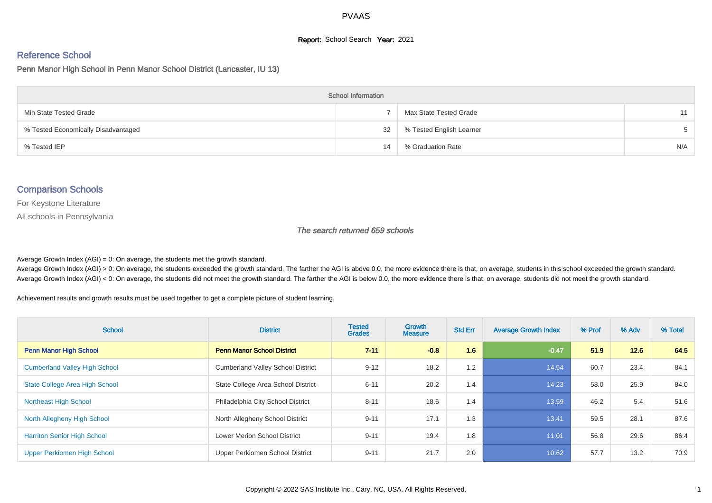# **Report:** School Search **Year:** 2021

# Reference School

Penn Manor High School in Penn Manor School District (Lancaster, IU 13)

| <b>School Information</b>           |    |                          |     |  |  |  |  |  |
|-------------------------------------|----|--------------------------|-----|--|--|--|--|--|
| Min State Tested Grade              |    | Max State Tested Grade   | 11  |  |  |  |  |  |
| % Tested Economically Disadvantaged | 32 | % Tested English Learner | .h  |  |  |  |  |  |
| % Tested IEP                        | 14 | % Graduation Rate        | N/A |  |  |  |  |  |

#### Comparison Schools

For Keystone Literature

All schools in Pennsylvania

The search returned 659 schools

Average Growth Index  $(AGI) = 0$ : On average, the students met the growth standard.

Average Growth Index (AGI) > 0: On average, the students exceeded the growth standard. The farther the AGI is above 0.0, the more evidence there is that, on average, students in this school exceeded the growth standard. Average Growth Index (AGI) < 0: On average, the students did not meet the growth standard. The farther the AGI is below 0.0, the more evidence there is that, on average, students did not meet the growth standard.

Achievement results and growth results must be used together to get a complete picture of student learning.

| <b>School</b>                         | <b>District</b>                          | <b>Tested</b><br><b>Grades</b> | Growth<br><b>Measure</b> | <b>Std Err</b> | <b>Average Growth Index</b> | % Prof | % Adv | % Total |
|---------------------------------------|------------------------------------------|--------------------------------|--------------------------|----------------|-----------------------------|--------|-------|---------|
| <b>Penn Manor High School</b>         | <b>Penn Manor School District</b>        | $7 - 11$                       | $-0.8$                   | 1.6            | $-0.47$                     | 51.9   | 12.6  | 64.5    |
| <b>Cumberland Valley High School</b>  | <b>Cumberland Valley School District</b> | $9 - 12$                       | 18.2                     | 1.2            | 14.54                       | 60.7   | 23.4  | 84.1    |
| <b>State College Area High School</b> | State College Area School District       | $6 - 11$                       | 20.2                     | 1.4            | 14.23                       | 58.0   | 25.9  | 84.0    |
| <b>Northeast High School</b>          | Philadelphia City School District        | $8 - 11$                       | 18.6                     | 1.4            | 13.59                       | 46.2   | 5.4   | 51.6    |
| North Allegheny High School           | North Allegheny School District          | $9 - 11$                       | 17.1                     | 1.3            | 13.41                       | 59.5   | 28.1  | 87.6    |
| <b>Harriton Senior High School</b>    | <b>Lower Merion School District</b>      | $9 - 11$                       | 19.4                     | 1.8            | 11.01                       | 56.8   | 29.6  | 86.4    |
| Upper Perkiomen High School           | Upper Perkiomen School District          | $9 - 11$                       | 21.7                     | 2.0            | 10.62                       | 57.7   | 13.2  | 70.9    |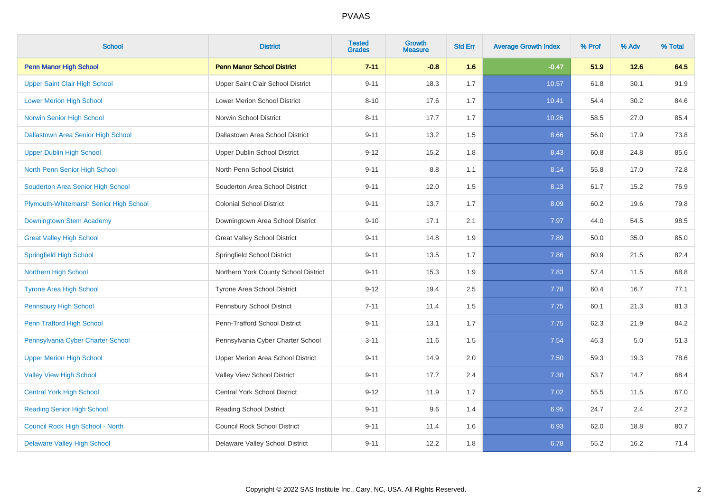| <b>School</b>                          | <b>District</b>                      | <b>Tested</b><br><b>Grades</b> | <b>Growth</b><br><b>Measure</b> | <b>Std Err</b> | <b>Average Growth Index</b> | % Prof | % Adv | % Total |
|----------------------------------------|--------------------------------------|--------------------------------|---------------------------------|----------------|-----------------------------|--------|-------|---------|
| <b>Penn Manor High School</b>          | <b>Penn Manor School District</b>    | $7 - 11$                       | $-0.8$                          | 1.6            | $-0.47$                     | 51.9   | 12.6  | 64.5    |
| Upper Saint Clair High School          | Upper Saint Clair School District    | $9 - 11$                       | 18.3                            | 1.7            | 10.57                       | 61.8   | 30.1  | 91.9    |
| <b>Lower Merion High School</b>        | <b>Lower Merion School District</b>  | $8 - 10$                       | 17.6                            | 1.7            | 10.41                       | 54.4   | 30.2  | 84.6    |
| Norwin Senior High School              | Norwin School District               | $8 - 11$                       | 17.7                            | 1.7            | 10.26                       | 58.5   | 27.0  | 85.4    |
| Dallastown Area Senior High School     | Dallastown Area School District      | $9 - 11$                       | 13.2                            | 1.5            | 8.66                        | 56.0   | 17.9  | 73.8    |
| <b>Upper Dublin High School</b>        | Upper Dublin School District         | $9 - 12$                       | 15.2                            | 1.8            | 8.43                        | 60.8   | 24.8  | 85.6    |
| North Penn Senior High School          | North Penn School District           | $9 - 11$                       | 8.8                             | 1.1            | 8.14                        | 55.8   | 17.0  | 72.8    |
| Souderton Area Senior High School      | Souderton Area School District       | $9 - 11$                       | 12.0                            | 1.5            | 8.13                        | 61.7   | 15.2  | 76.9    |
| Plymouth-Whitemarsh Senior High School | <b>Colonial School District</b>      | $9 - 11$                       | 13.7                            | 1.7            | 8.09                        | 60.2   | 19.6  | 79.8    |
| Downingtown Stem Academy               | Downingtown Area School District     | $9 - 10$                       | 17.1                            | 2.1            | 7.97                        | 44.0   | 54.5  | 98.5    |
| <b>Great Valley High School</b>        | <b>Great Valley School District</b>  | $9 - 11$                       | 14.8                            | 1.9            | 7.89                        | 50.0   | 35.0  | 85.0    |
| <b>Springfield High School</b>         | Springfield School District          | $9 - 11$                       | 13.5                            | 1.7            | 7.86                        | 60.9   | 21.5  | 82.4    |
| Northern High School                   | Northern York County School District | $9 - 11$                       | 15.3                            | 1.9            | 7.83                        | 57.4   | 11.5  | 68.8    |
| <b>Tyrone Area High School</b>         | Tyrone Area School District          | $9 - 12$                       | 19.4                            | 2.5            | 7.78                        | 60.4   | 16.7  | 77.1    |
| <b>Pennsbury High School</b>           | Pennsbury School District            | $7 - 11$                       | 11.4                            | 1.5            | 7.75                        | 60.1   | 21.3  | 81.3    |
| Penn Trafford High School              | Penn-Trafford School District        | $9 - 11$                       | 13.1                            | 1.7            | 7.75                        | 62.3   | 21.9  | 84.2    |
| Pennsylvania Cyber Charter School      | Pennsylvania Cyber Charter School    | $3 - 11$                       | 11.6                            | 1.5            | 7.54                        | 46.3   | 5.0   | 51.3    |
| <b>Upper Merion High School</b>        | Upper Merion Area School District    | $9 - 11$                       | 14.9                            | $2.0\,$        | 7.50                        | 59.3   | 19.3  | 78.6    |
| <b>Valley View High School</b>         | Valley View School District          | $9 - 11$                       | 17.7                            | 2.4            | 7.30                        | 53.7   | 14.7  | 68.4    |
| <b>Central York High School</b>        | Central York School District         | $9 - 12$                       | 11.9                            | 1.7            | 7.02                        | 55.5   | 11.5  | 67.0    |
| <b>Reading Senior High School</b>      | Reading School District              | $9 - 11$                       | 9.6                             | 1.4            | 6.95                        | 24.7   | 2.4   | 27.2    |
| Council Rock High School - North       | <b>Council Rock School District</b>  | $9 - 11$                       | 11.4                            | 1.6            | 6.93                        | 62.0   | 18.8  | 80.7    |
| <b>Delaware Valley High School</b>     | Delaware Valley School District      | $9 - 11$                       | 12.2                            | 1.8            | 6.78                        | 55.2   | 16.2  | 71.4    |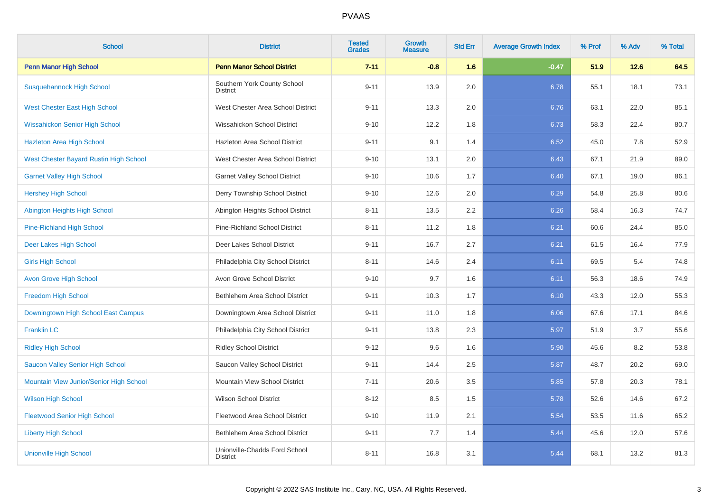| <b>School</b>                           | <b>District</b>                                  | <b>Tested</b><br><b>Grades</b> | Growth<br><b>Measure</b> | <b>Std Err</b> | <b>Average Growth Index</b> | % Prof | % Adv | % Total |
|-----------------------------------------|--------------------------------------------------|--------------------------------|--------------------------|----------------|-----------------------------|--------|-------|---------|
| <b>Penn Manor High School</b>           | <b>Penn Manor School District</b>                | $7 - 11$                       | $-0.8$                   | 1.6            | $-0.47$                     | 51.9   | 12.6  | 64.5    |
| <b>Susquehannock High School</b>        | Southern York County School<br><b>District</b>   | $9 - 11$                       | 13.9                     | 2.0            | 6.78                        | 55.1   | 18.1  | 73.1    |
| <b>West Chester East High School</b>    | West Chester Area School District                | $9 - 11$                       | 13.3                     | 2.0            | 6.76                        | 63.1   | 22.0  | 85.1    |
| <b>Wissahickon Senior High School</b>   | Wissahickon School District                      | $9 - 10$                       | 12.2                     | 1.8            | 6.73                        | 58.3   | 22.4  | 80.7    |
| <b>Hazleton Area High School</b>        | Hazleton Area School District                    | $9 - 11$                       | 9.1                      | 1.4            | 6.52                        | 45.0   | 7.8   | 52.9    |
| West Chester Bayard Rustin High School  | West Chester Area School District                | $9 - 10$                       | 13.1                     | 2.0            | 6.43                        | 67.1   | 21.9  | 89.0    |
| <b>Garnet Valley High School</b>        | <b>Garnet Valley School District</b>             | $9 - 10$                       | 10.6                     | 1.7            | 6.40                        | 67.1   | 19.0  | 86.1    |
| <b>Hershey High School</b>              | Derry Township School District                   | $9 - 10$                       | 12.6                     | 2.0            | 6.29                        | 54.8   | 25.8  | 80.6    |
| Abington Heights High School            | Abington Heights School District                 | $8 - 11$                       | 13.5                     | 2.2            | 6.26                        | 58.4   | 16.3  | 74.7    |
| <b>Pine-Richland High School</b>        | Pine-Richland School District                    | $8 - 11$                       | 11.2                     | 1.8            | 6.21                        | 60.6   | 24.4  | 85.0    |
| Deer Lakes High School                  | Deer Lakes School District                       | $9 - 11$                       | 16.7                     | 2.7            | 6.21                        | 61.5   | 16.4  | 77.9    |
| <b>Girls High School</b>                | Philadelphia City School District                | $8 - 11$                       | 14.6                     | 2.4            | 6.11                        | 69.5   | 5.4   | 74.8    |
| <b>Avon Grove High School</b>           | Avon Grove School District                       | $9 - 10$                       | 9.7                      | 1.6            | 6.11                        | 56.3   | 18.6  | 74.9    |
| <b>Freedom High School</b>              | Bethlehem Area School District                   | $9 - 11$                       | 10.3                     | 1.7            | 6.10                        | 43.3   | 12.0  | 55.3    |
| Downingtown High School East Campus     | Downingtown Area School District                 | $9 - 11$                       | 11.0                     | 1.8            | 6.06                        | 67.6   | 17.1  | 84.6    |
| <b>Franklin LC</b>                      | Philadelphia City School District                | $9 - 11$                       | 13.8                     | 2.3            | 5.97                        | 51.9   | 3.7   | 55.6    |
| <b>Ridley High School</b>               | <b>Ridley School District</b>                    | $9 - 12$                       | 9.6                      | 1.6            | 5.90                        | 45.6   | 8.2   | 53.8    |
| Saucon Valley Senior High School        | Saucon Valley School District                    | $9 - 11$                       | 14.4                     | 2.5            | 5.87                        | 48.7   | 20.2  | 69.0    |
| Mountain View Junior/Senior High School | Mountain View School District                    | $7 - 11$                       | 20.6                     | 3.5            | 5.85                        | 57.8   | 20.3  | 78.1    |
| <b>Wilson High School</b>               | <b>Wilson School District</b>                    | $8 - 12$                       | 8.5                      | 1.5            | 5.78                        | 52.6   | 14.6  | 67.2    |
| <b>Fleetwood Senior High School</b>     | Fleetwood Area School District                   | $9 - 10$                       | 11.9                     | 2.1            | 5.54                        | 53.5   | 11.6  | 65.2    |
| <b>Liberty High School</b>              | Bethlehem Area School District                   | $9 - 11$                       | 7.7                      | 1.4            | 5.44                        | 45.6   | 12.0  | 57.6    |
| <b>Unionville High School</b>           | Unionville-Chadds Ford School<br><b>District</b> | $8 - 11$                       | 16.8                     | 3.1            | 5.44                        | 68.1   | 13.2  | 81.3    |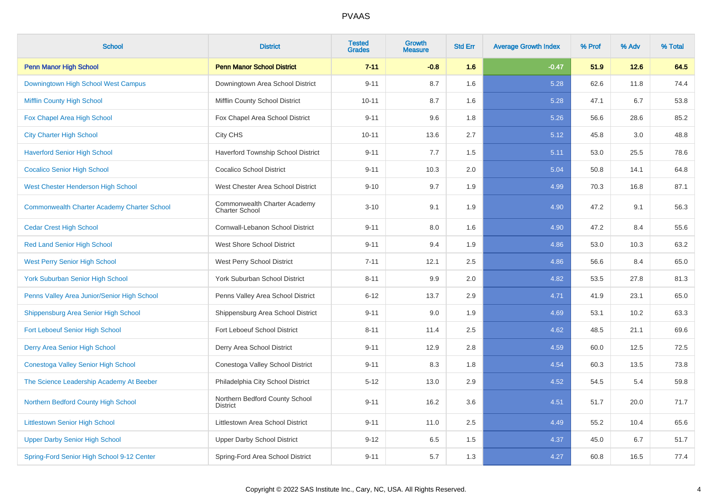| <b>School</b>                                      | <b>District</b>                                       | <b>Tested</b><br><b>Grades</b> | <b>Growth</b><br><b>Measure</b> | <b>Std Err</b> | <b>Average Growth Index</b> | % Prof | % Adv | % Total |
|----------------------------------------------------|-------------------------------------------------------|--------------------------------|---------------------------------|----------------|-----------------------------|--------|-------|---------|
| <b>Penn Manor High School</b>                      | <b>Penn Manor School District</b>                     | $7 - 11$                       | $-0.8$                          | 1.6            | $-0.47$                     | 51.9   | 12.6  | 64.5    |
| Downingtown High School West Campus                | Downingtown Area School District                      | $9 - 11$                       | 8.7                             | 1.6            | 5.28                        | 62.6   | 11.8  | 74.4    |
| <b>Mifflin County High School</b>                  | Mifflin County School District                        | $10 - 11$                      | 8.7                             | 1.6            | 5.28                        | 47.1   | 6.7   | 53.8    |
| Fox Chapel Area High School                        | Fox Chapel Area School District                       | $9 - 11$                       | 9.6                             | 1.8            | 5.26                        | 56.6   | 28.6  | 85.2    |
| <b>City Charter High School</b>                    | City CHS                                              | $10 - 11$                      | 13.6                            | 2.7            | 5.12                        | 45.8   | 3.0   | 48.8    |
| <b>Haverford Senior High School</b>                | Haverford Township School District                    | $9 - 11$                       | 7.7                             | 1.5            | 5.11                        | 53.0   | 25.5  | 78.6    |
| <b>Cocalico Senior High School</b>                 | <b>Cocalico School District</b>                       | $9 - 11$                       | 10.3                            | 2.0            | 5.04                        | 50.8   | 14.1  | 64.8    |
| West Chester Henderson High School                 | West Chester Area School District                     | $9 - 10$                       | 9.7                             | 1.9            | 4.99                        | 70.3   | 16.8  | 87.1    |
| <b>Commonwealth Charter Academy Charter School</b> | Commonwealth Charter Academy<br><b>Charter School</b> | $3 - 10$                       | 9.1                             | 1.9            | 4.90                        | 47.2   | 9.1   | 56.3    |
| <b>Cedar Crest High School</b>                     | Cornwall-Lebanon School District                      | $9 - 11$                       | 8.0                             | 1.6            | 4.90                        | 47.2   | 8.4   | 55.6    |
| <b>Red Land Senior High School</b>                 | <b>West Shore School District</b>                     | $9 - 11$                       | 9.4                             | 1.9            | 4.86                        | 53.0   | 10.3  | 63.2    |
| <b>West Perry Senior High School</b>               | West Perry School District                            | $7 - 11$                       | 12.1                            | 2.5            | 4.86                        | 56.6   | 8.4   | 65.0    |
| <b>York Suburban Senior High School</b>            | York Suburban School District                         | $8 - 11$                       | 9.9                             | 2.0            | 4.82                        | 53.5   | 27.8  | 81.3    |
| Penns Valley Area Junior/Senior High School        | Penns Valley Area School District                     | $6 - 12$                       | 13.7                            | 2.9            | 4.71                        | 41.9   | 23.1  | 65.0    |
| Shippensburg Area Senior High School               | Shippensburg Area School District                     | $9 - 11$                       | 9.0                             | 1.9            | 4.69                        | 53.1   | 10.2  | 63.3    |
| <b>Fort Leboeuf Senior High School</b>             | Fort Leboeuf School District                          | $8 - 11$                       | 11.4                            | 2.5            | 4.62                        | 48.5   | 21.1  | 69.6    |
| Derry Area Senior High School                      | Derry Area School District                            | $9 - 11$                       | 12.9                            | 2.8            | 4.59                        | 60.0   | 12.5  | 72.5    |
| Conestoga Valley Senior High School                | Conestoga Valley School District                      | $9 - 11$                       | 8.3                             | 1.8            | 4.54                        | 60.3   | 13.5  | 73.8    |
| The Science Leadership Academy At Beeber           | Philadelphia City School District                     | $5 - 12$                       | 13.0                            | 2.9            | 4.52                        | 54.5   | 5.4   | 59.8    |
| Northern Bedford County High School                | Northern Bedford County School<br><b>District</b>     | $9 - 11$                       | 16.2                            | 3.6            | 4.51                        | 51.7   | 20.0  | 71.7    |
| <b>Littlestown Senior High School</b>              | Littlestown Area School District                      | $9 - 11$                       | 11.0                            | 2.5            | 4.49                        | 55.2   | 10.4  | 65.6    |
| <b>Upper Darby Senior High School</b>              | <b>Upper Darby School District</b>                    | $9 - 12$                       | 6.5                             | 1.5            | 4.37                        | 45.0   | 6.7   | 51.7    |
| Spring-Ford Senior High School 9-12 Center         | Spring-Ford Area School District                      | $9 - 11$                       | 5.7                             | 1.3            | 4.27                        | 60.8   | 16.5  | 77.4    |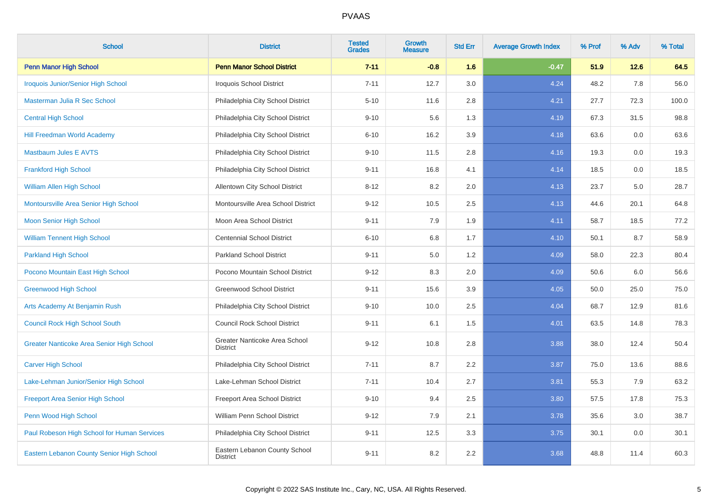| <b>School</b>                               | <b>District</b>                                  | <b>Tested</b><br><b>Grades</b> | Growth<br><b>Measure</b> | <b>Std Err</b> | <b>Average Growth Index</b> | % Prof | % Adv | % Total |
|---------------------------------------------|--------------------------------------------------|--------------------------------|--------------------------|----------------|-----------------------------|--------|-------|---------|
| <b>Penn Manor High School</b>               | <b>Penn Manor School District</b>                | $7 - 11$                       | $-0.8$                   | 1.6            | $-0.47$                     | 51.9   | 12.6  | 64.5    |
| Iroquois Junior/Senior High School          | <b>Iroquois School District</b>                  | $7 - 11$                       | 12.7                     | 3.0            | 4.24                        | 48.2   | 7.8   | 56.0    |
| Masterman Julia R Sec School                | Philadelphia City School District                | $5 - 10$                       | 11.6                     | 2.8            | 4.21                        | 27.7   | 72.3  | 100.0   |
| <b>Central High School</b>                  | Philadelphia City School District                | $9 - 10$                       | 5.6                      | 1.3            | 4.19                        | 67.3   | 31.5  | 98.8    |
| <b>Hill Freedman World Academy</b>          | Philadelphia City School District                | $6 - 10$                       | 16.2                     | 3.9            | 4.18                        | 63.6   | 0.0   | 63.6    |
| <b>Mastbaum Jules E AVTS</b>                | Philadelphia City School District                | $9 - 10$                       | 11.5                     | 2.8            | 4.16                        | 19.3   | 0.0   | 19.3    |
| <b>Frankford High School</b>                | Philadelphia City School District                | $9 - 11$                       | 16.8                     | 4.1            | 4.14                        | 18.5   | 0.0   | 18.5    |
| <b>William Allen High School</b>            | Allentown City School District                   | $8 - 12$                       | 8.2                      | 2.0            | 4.13                        | 23.7   | 5.0   | 28.7    |
| Montoursville Area Senior High School       | Montoursville Area School District               | $9 - 12$                       | 10.5                     | 2.5            | 4.13                        | 44.6   | 20.1  | 64.8    |
| Moon Senior High School                     | Moon Area School District                        | $9 - 11$                       | 7.9                      | 1.9            | 4.11                        | 58.7   | 18.5  | 77.2    |
| <b>William Tennent High School</b>          | <b>Centennial School District</b>                | $6 - 10$                       | $6.8\,$                  | 1.7            | 4.10                        | 50.1   | 8.7   | 58.9    |
| <b>Parkland High School</b>                 | <b>Parkland School District</b>                  | $9 - 11$                       | 5.0                      | $1.2$          | 4.09                        | 58.0   | 22.3  | 80.4    |
| Pocono Mountain East High School            | Pocono Mountain School District                  | $9 - 12$                       | 8.3                      | 2.0            | 4.09                        | 50.6   | 6.0   | 56.6    |
| <b>Greenwood High School</b>                | <b>Greenwood School District</b>                 | $9 - 11$                       | 15.6                     | 3.9            | 4.05                        | 50.0   | 25.0  | 75.0    |
| Arts Academy At Benjamin Rush               | Philadelphia City School District                | $9 - 10$                       | 10.0                     | 2.5            | 4.04                        | 68.7   | 12.9  | 81.6    |
| <b>Council Rock High School South</b>       | <b>Council Rock School District</b>              | $9 - 11$                       | 6.1                      | 1.5            | 4.01                        | 63.5   | 14.8  | 78.3    |
| Greater Nanticoke Area Senior High School   | Greater Nanticoke Area School<br><b>District</b> | $9 - 12$                       | 10.8                     | 2.8            | 3.88                        | 38.0   | 12.4  | 50.4    |
| <b>Carver High School</b>                   | Philadelphia City School District                | $7 - 11$                       | 8.7                      | 2.2            | 3.87                        | 75.0   | 13.6  | 88.6    |
| Lake-Lehman Junior/Senior High School       | Lake-Lehman School District                      | $7 - 11$                       | 10.4                     | 2.7            | 3.81                        | 55.3   | 7.9   | 63.2    |
| <b>Freeport Area Senior High School</b>     | Freeport Area School District                    | $9 - 10$                       | 9.4                      | 2.5            | 3.80                        | 57.5   | 17.8  | 75.3    |
| Penn Wood High School                       | William Penn School District                     | $9 - 12$                       | 7.9                      | 2.1            | 3.78                        | 35.6   | 3.0   | 38.7    |
| Paul Robeson High School for Human Services | Philadelphia City School District                | $9 - 11$                       | 12.5                     | 3.3            | 3.75                        | 30.1   | 0.0   | 30.1    |
| Eastern Lebanon County Senior High School   | Eastern Lebanon County School<br><b>District</b> | $9 - 11$                       | 8.2                      | 2.2            | 3.68                        | 48.8   | 11.4  | 60.3    |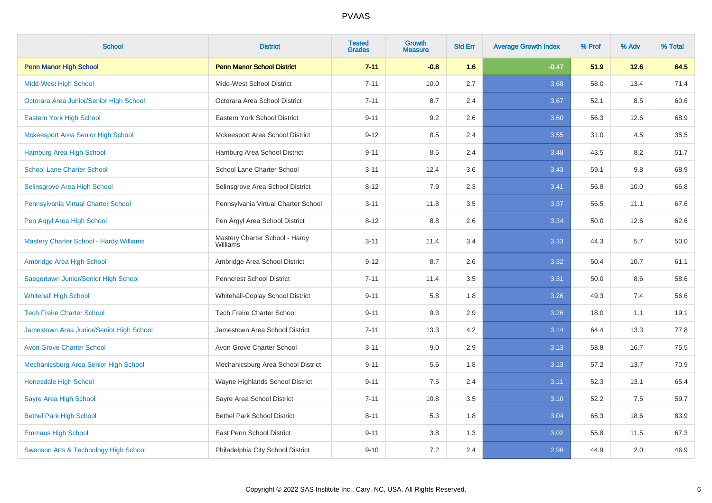| <b>School</b>                                  | <b>District</b>                            | <b>Tested</b><br><b>Grades</b> | Growth<br><b>Measure</b> | <b>Std Err</b> | <b>Average Growth Index</b> | % Prof | % Adv  | % Total |
|------------------------------------------------|--------------------------------------------|--------------------------------|--------------------------|----------------|-----------------------------|--------|--------|---------|
| <b>Penn Manor High School</b>                  | <b>Penn Manor School District</b>          | $7 - 11$                       | $-0.8$                   | 1.6            | $-0.47$                     | 51.9   | $12.6$ | 64.5    |
| <b>Midd-West High School</b>                   | Midd-West School District                  | $7 - 11$                       | 10.0                     | 2.7            | 3.68                        | 58.0   | 13.4   | 71.4    |
| Octorara Area Junior/Senior High School        | Octorara Area School District              | $7 - 11$                       | 8.7                      | 2.4            | 3.67                        | 52.1   | 8.5    | 60.6    |
| Eastern York High School                       | Eastern York School District               | $9 - 11$                       | 9.2                      | 2.6            | 3.60                        | 56.3   | 12.6   | 68.9    |
| <b>Mckeesport Area Senior High School</b>      | Mckeesport Area School District            | $9 - 12$                       | 8.5                      | 2.4            | 3.55                        | 31.0   | 4.5    | 35.5    |
| <b>Hamburg Area High School</b>                | Hamburg Area School District               | $9 - 11$                       | 8.5                      | 2.4            | 3.48                        | 43.5   | 8.2    | 51.7    |
| <b>School Lane Charter School</b>              | School Lane Charter School                 | $3 - 11$                       | 12.4                     | 3.6            | 3.43                        | 59.1   | 9.8    | 68.9    |
| Selinsgrove Area High School                   | Selinsgrove Area School District           | $8 - 12$                       | 7.9                      | 2.3            | 3.41                        | 56.8   | 10.0   | 66.8    |
| Pennsylvania Virtual Charter School            | Pennsylvania Virtual Charter School        | $3 - 11$                       | 11.8                     | 3.5            | 3.37                        | 56.5   | 11.1   | 67.6    |
| Pen Argyl Area High School                     | Pen Argyl Area School District             | $8 - 12$                       | 8.8                      | 2.6            | 3.34                        | 50.0   | 12.6   | 62.6    |
| <b>Mastery Charter School - Hardy Williams</b> | Mastery Charter School - Hardy<br>Williams | $3 - 11$                       | 11.4                     | 3.4            | 3.33                        | 44.3   | 5.7    | 50.0    |
| Ambridge Area High School                      | Ambridge Area School District              | $9 - 12$                       | 8.7                      | 2.6            | 3.32                        | 50.4   | 10.7   | 61.1    |
| Saegertown Junior/Senior High School           | <b>Penncrest School District</b>           | $7 - 11$                       | 11.4                     | 3.5            | 3.31                        | 50.0   | 8.6    | 58.6    |
| <b>Whitehall High School</b>                   | Whitehall-Coplay School District           | $9 - 11$                       | 5.8                      | 1.8            | 3.26                        | 49.3   | 7.4    | 56.6    |
| <b>Tech Freire Charter School</b>              | <b>Tech Freire Charter School</b>          | $9 - 11$                       | 9.3                      | 2.9            | 3.26                        | 18.0   | 1.1    | 19.1    |
| Jamestown Area Junior/Senior High School       | Jamestown Area School District             | $7 - 11$                       | 13.3                     | 4.2            | 3.14                        | 64.4   | 13.3   | 77.8    |
| <b>Avon Grove Charter School</b>               | Avon Grove Charter School                  | $3 - 11$                       | 9.0                      | 2.9            | 3.13                        | 58.8   | 16.7   | 75.5    |
| Mechanicsburg Area Senior High School          | Mechanicsburg Area School District         | $9 - 11$                       | 5.6                      | 1.8            | 3.13                        | 57.2   | 13.7   | 70.9    |
| Honesdale High School                          | Wayne Highlands School District            | $9 - 11$                       | $7.5\,$                  | 2.4            | 3.11                        | 52.3   | 13.1   | 65.4    |
| Sayre Area High School                         | Sayre Area School District                 | $7 - 11$                       | 10.8                     | 3.5            | 3.10                        | 52.2   | 7.5    | 59.7    |
| <b>Bethel Park High School</b>                 | <b>Bethel Park School District</b>         | $8 - 11$                       | 5.3                      | 1.8            | 3.04                        | 65.3   | 18.6   | 83.9    |
| <b>Emmaus High School</b>                      | East Penn School District                  | $9 - 11$                       | 3.8                      | 1.3            | 3.02                        | 55.8   | 11.5   | 67.3    |
| Swenson Arts & Technology High School          | Philadelphia City School District          | $9 - 10$                       | 7.2                      | 2.4            | 2.96                        | 44.9   | 2.0    | 46.9    |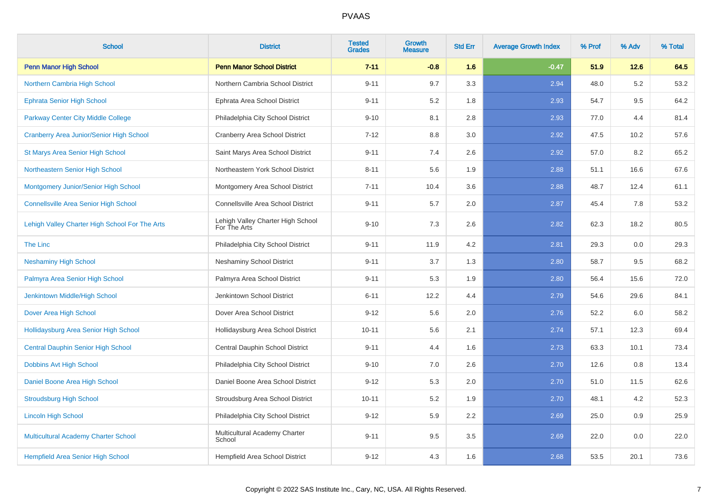| <b>School</b>                                   | <b>District</b>                                   | <b>Tested</b><br><b>Grades</b> | <b>Growth</b><br><b>Measure</b> | <b>Std Err</b> | <b>Average Growth Index</b> | % Prof | % Adv | % Total |
|-------------------------------------------------|---------------------------------------------------|--------------------------------|---------------------------------|----------------|-----------------------------|--------|-------|---------|
| <b>Penn Manor High School</b>                   | <b>Penn Manor School District</b>                 | $7 - 11$                       | $-0.8$                          | 1.6            | $-0.47$                     | 51.9   | 12.6  | 64.5    |
| Northern Cambria High School                    | Northern Cambria School District                  | $9 - 11$                       | 9.7                             | 3.3            | 2.94                        | 48.0   | 5.2   | 53.2    |
| <b>Ephrata Senior High School</b>               | Ephrata Area School District                      | $9 - 11$                       | 5.2                             | 1.8            | 2.93                        | 54.7   | 9.5   | 64.2    |
| <b>Parkway Center City Middle College</b>       | Philadelphia City School District                 | $9 - 10$                       | 8.1                             | 2.8            | 2.93                        | 77.0   | 4.4   | 81.4    |
| <b>Cranberry Area Junior/Senior High School</b> | Cranberry Area School District                    | $7 - 12$                       | 8.8                             | 3.0            | 2.92                        | 47.5   | 10.2  | 57.6    |
| St Marys Area Senior High School                | Saint Marys Area School District                  | $9 - 11$                       | 7.4                             | 2.6            | 2.92                        | 57.0   | 8.2   | 65.2    |
| Northeastern Senior High School                 | Northeastern York School District                 | $8 - 11$                       | 5.6                             | 1.9            | 2.88                        | 51.1   | 16.6  | 67.6    |
| Montgomery Junior/Senior High School            | Montgomery Area School District                   | $7 - 11$                       | 10.4                            | 3.6            | 2.88                        | 48.7   | 12.4  | 61.1    |
| <b>Connellsville Area Senior High School</b>    | Connellsville Area School District                | $9 - 11$                       | 5.7                             | 2.0            | 2.87                        | 45.4   | 7.8   | 53.2    |
| Lehigh Valley Charter High School For The Arts  | Lehigh Valley Charter High School<br>For The Arts | $9 - 10$                       | 7.3                             | 2.6            | 2.82                        | 62.3   | 18.2  | 80.5    |
| The Linc                                        | Philadelphia City School District                 | $9 - 11$                       | 11.9                            | 4.2            | 2.81                        | 29.3   | 0.0   | 29.3    |
| <b>Neshaminy High School</b>                    | <b>Neshaminy School District</b>                  | $9 - 11$                       | 3.7                             | 1.3            | 2.80                        | 58.7   | 9.5   | 68.2    |
| Palmyra Area Senior High School                 | Palmyra Area School District                      | $9 - 11$                       | 5.3                             | 1.9            | 2.80                        | 56.4   | 15.6  | 72.0    |
| Jenkintown Middle/High School                   | Jenkintown School District                        | $6 - 11$                       | 12.2                            | 4.4            | 2.79                        | 54.6   | 29.6  | 84.1    |
| Dover Area High School                          | Dover Area School District                        | $9 - 12$                       | 5.6                             | 2.0            | 2.76                        | 52.2   | 6.0   | 58.2    |
| Hollidaysburg Area Senior High School           | Hollidaysburg Area School District                | $10 - 11$                      | 5.6                             | 2.1            | 2.74                        | 57.1   | 12.3  | 69.4    |
| <b>Central Dauphin Senior High School</b>       | Central Dauphin School District                   | $9 - 11$                       | 4.4                             | 1.6            | 2.73                        | 63.3   | 10.1  | 73.4    |
| <b>Dobbins Avt High School</b>                  | Philadelphia City School District                 | $9 - 10$                       | 7.0                             | 2.6            | 2.70                        | 12.6   | 0.8   | 13.4    |
| Daniel Boone Area High School                   | Daniel Boone Area School District                 | $9 - 12$                       | 5.3                             | $2.0\,$        | 2.70                        | 51.0   | 11.5  | 62.6    |
| <b>Stroudsburg High School</b>                  | Stroudsburg Area School District                  | $10 - 11$                      | 5.2                             | 1.9            | 2.70                        | 48.1   | 4.2   | 52.3    |
| <b>Lincoln High School</b>                      | Philadelphia City School District                 | $9 - 12$                       | 5.9                             | 2.2            | 2.69                        | 25.0   | 0.9   | 25.9    |
| Multicultural Academy Charter School            | Multicultural Academy Charter<br>School           | $9 - 11$                       | 9.5                             | 3.5            | 2.69                        | 22.0   | 0.0   | 22.0    |
| Hempfield Area Senior High School               | Hempfield Area School District                    | $9 - 12$                       | 4.3                             | 1.6            | 2.68                        | 53.5   | 20.1  | 73.6    |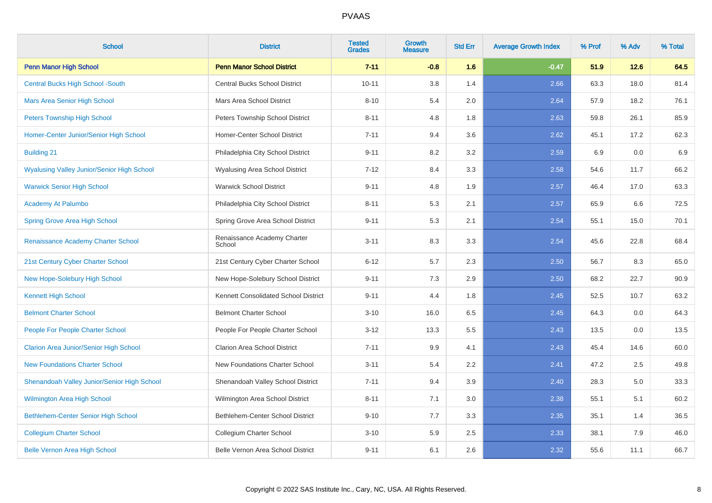| <b>School</b>                                     | <b>District</b>                        | <b>Tested</b><br><b>Grades</b> | Growth<br><b>Measure</b> | <b>Std Err</b> | <b>Average Growth Index</b> | % Prof | % Adv | % Total |
|---------------------------------------------------|----------------------------------------|--------------------------------|--------------------------|----------------|-----------------------------|--------|-------|---------|
| <b>Penn Manor High School</b>                     | <b>Penn Manor School District</b>      | $7 - 11$                       | $-0.8$                   | 1.6            | $-0.47$                     | 51.9   | 12.6  | 64.5    |
| <b>Central Bucks High School -South</b>           | Central Bucks School District          | $10 - 11$                      | 3.8                      | 1.4            | 2.66                        | 63.3   | 18.0  | 81.4    |
| <b>Mars Area Senior High School</b>               | Mars Area School District              | $8 - 10$                       | 5.4                      | 2.0            | 2.64                        | 57.9   | 18.2  | 76.1    |
| <b>Peters Township High School</b>                | <b>Peters Township School District</b> | $8 - 11$                       | 4.8                      | 1.8            | 2.63                        | 59.8   | 26.1  | 85.9    |
| Homer-Center Junior/Senior High School            | Homer-Center School District           | $7 - 11$                       | 9.4                      | 3.6            | 2.62                        | 45.1   | 17.2  | 62.3    |
| <b>Building 21</b>                                | Philadelphia City School District      | $9 - 11$                       | 8.2                      | 3.2            | 2.59                        | 6.9    | 0.0   | 6.9     |
| <b>Wyalusing Valley Junior/Senior High School</b> | <b>Wyalusing Area School District</b>  | $7 - 12$                       | 8.4                      | 3.3            | 2.58                        | 54.6   | 11.7  | 66.2    |
| <b>Warwick Senior High School</b>                 | <b>Warwick School District</b>         | $9 - 11$                       | 4.8                      | 1.9            | 2.57                        | 46.4   | 17.0  | 63.3    |
| <b>Academy At Palumbo</b>                         | Philadelphia City School District      | $8 - 11$                       | 5.3                      | 2.1            | 2.57                        | 65.9   | 6.6   | 72.5    |
| <b>Spring Grove Area High School</b>              | Spring Grove Area School District      | $9 - 11$                       | 5.3                      | 2.1            | 2.54                        | 55.1   | 15.0  | 70.1    |
| Renaissance Academy Charter School                | Renaissance Academy Charter<br>School  | $3 - 11$                       | 8.3                      | 3.3            | 2.54                        | 45.6   | 22.8  | 68.4    |
| 21st Century Cyber Charter School                 | 21st Century Cyber Charter School      | $6 - 12$                       | 5.7                      | 2.3            | 2.50                        | 56.7   | 8.3   | 65.0    |
| New Hope-Solebury High School                     | New Hope-Solebury School District      | $9 - 11$                       | 7.3                      | 2.9            | 2.50                        | 68.2   | 22.7  | 90.9    |
| <b>Kennett High School</b>                        | Kennett Consolidated School District   | $9 - 11$                       | 4.4                      | 1.8            | 2.45                        | 52.5   | 10.7  | 63.2    |
| <b>Belmont Charter School</b>                     | <b>Belmont Charter School</b>          | $3 - 10$                       | 16.0                     | 6.5            | 2.45                        | 64.3   | 0.0   | 64.3    |
| <b>People For People Charter School</b>           | People For People Charter School       | $3 - 12$                       | 13.3                     | 5.5            | 2.43                        | 13.5   | 0.0   | 13.5    |
| <b>Clarion Area Junior/Senior High School</b>     | Clarion Area School District           | $7 - 11$                       | 9.9                      | 4.1            | 2.43                        | 45.4   | 14.6  | 60.0    |
| <b>New Foundations Charter School</b>             | New Foundations Charter School         | $3 - 11$                       | 5.4                      | 2.2            | 2.41                        | 47.2   | 2.5   | 49.8    |
| Shenandoah Valley Junior/Senior High School       | Shenandoah Valley School District      | $7 - 11$                       | 9.4                      | 3.9            | 2.40                        | 28.3   | 5.0   | 33.3    |
| <b>Wilmington Area High School</b>                | Wilmington Area School District        | $8 - 11$                       | 7.1                      | 3.0            | 2.38                        | 55.1   | 5.1   | 60.2    |
| Bethlehem-Center Senior High School               | Bethlehem-Center School District       | $9 - 10$                       | 7.7                      | 3.3            | 2.35                        | 35.1   | 1.4   | 36.5    |
| <b>Collegium Charter School</b>                   | Collegium Charter School               | $3 - 10$                       | 5.9                      | 2.5            | 2.33                        | 38.1   | 7.9   | 46.0    |
| <b>Belle Vernon Area High School</b>              | Belle Vernon Area School District      | $9 - 11$                       | 6.1                      | 2.6            | 2.32                        | 55.6   | 11.1  | 66.7    |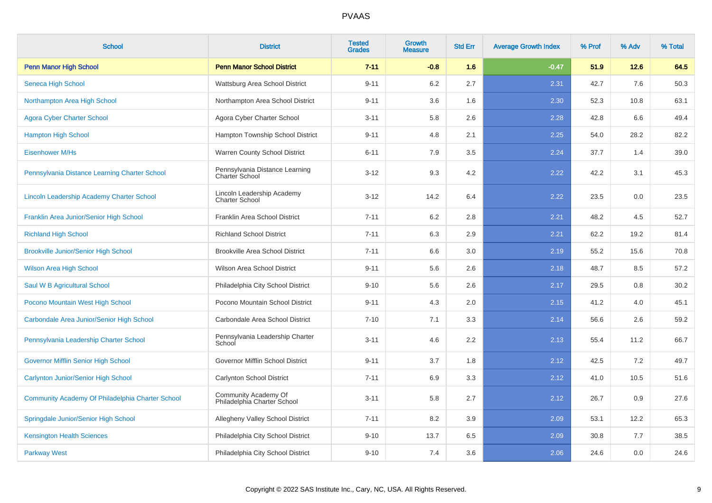| <b>School</b>                                    | <b>District</b>                                         | <b>Tested</b><br><b>Grades</b> | Growth<br><b>Measure</b> | <b>Std Err</b> | <b>Average Growth Index</b> | % Prof | % Adv | % Total |
|--------------------------------------------------|---------------------------------------------------------|--------------------------------|--------------------------|----------------|-----------------------------|--------|-------|---------|
| <b>Penn Manor High School</b>                    | <b>Penn Manor School District</b>                       | $7 - 11$                       | $-0.8$                   | 1.6            | $-0.47$                     | 51.9   | 12.6  | 64.5    |
| Seneca High School                               | Wattsburg Area School District                          | $9 - 11$                       | 6.2                      | 2.7            | 2.31                        | 42.7   | 7.6   | 50.3    |
| Northampton Area High School                     | Northampton Area School District                        | $9 - 11$                       | 3.6                      | 1.6            | 2.30                        | 52.3   | 10.8  | 63.1    |
| <b>Agora Cyber Charter School</b>                | Agora Cyber Charter School                              | $3 - 11$                       | 5.8                      | 2.6            | 2.28                        | 42.8   | 6.6   | 49.4    |
| <b>Hampton High School</b>                       | Hampton Township School District                        | $9 - 11$                       | 4.8                      | 2.1            | 2.25                        | 54.0   | 28.2  | 82.2    |
| <b>Eisenhower M/Hs</b>                           | Warren County School District                           | $6 - 11$                       | 7.9                      | 3.5            | 2.24                        | 37.7   | 1.4   | 39.0    |
| Pennsylvania Distance Learning Charter School    | Pennsylvania Distance Learning<br><b>Charter School</b> | $3 - 12$                       | 9.3                      | 4.2            | 2.22                        | 42.2   | 3.1   | 45.3    |
| Lincoln Leadership Academy Charter School        | Lincoln Leadership Academy<br><b>Charter School</b>     | $3 - 12$                       | 14.2                     | 6.4            | 2.22                        | 23.5   | 0.0   | 23.5    |
| Franklin Area Junior/Senior High School          | Franklin Area School District                           | $7 - 11$                       | 6.2                      | 2.8            | 2.21                        | 48.2   | 4.5   | 52.7    |
| <b>Richland High School</b>                      | <b>Richland School District</b>                         | $7 - 11$                       | 6.3                      | 2.9            | 2.21                        | 62.2   | 19.2  | 81.4    |
| <b>Brookville Junior/Senior High School</b>      | <b>Brookville Area School District</b>                  | $7 - 11$                       | 6.6                      | 3.0            | 2.19                        | 55.2   | 15.6  | 70.8    |
| <b>Wilson Area High School</b>                   | <b>Wilson Area School District</b>                      | $9 - 11$                       | 5.6                      | 2.6            | 2.18                        | 48.7   | 8.5   | 57.2    |
| Saul W B Agricultural School                     | Philadelphia City School District                       | $9 - 10$                       | 5.6                      | 2.6            | 2.17                        | 29.5   | 0.8   | 30.2    |
| Pocono Mountain West High School                 | Pocono Mountain School District                         | $9 - 11$                       | 4.3                      | 2.0            | 2.15                        | 41.2   | 4.0   | 45.1    |
| Carbondale Area Junior/Senior High School        | Carbondale Area School District                         | $7 - 10$                       | 7.1                      | 3.3            | 2.14                        | 56.6   | 2.6   | 59.2    |
| Pennsylvania Leadership Charter School           | Pennsylvania Leadership Charter<br>School               | $3 - 11$                       | 4.6                      | 2.2            | 2.13                        | 55.4   | 11.2  | 66.7    |
| <b>Governor Mifflin Senior High School</b>       | Governor Mifflin School District                        | $9 - 11$                       | 3.7                      | 1.8            | 2.12                        | 42.5   | 7.2   | 49.7    |
| Carlynton Junior/Senior High School              | Carlynton School District                               | $7 - 11$                       | 6.9                      | 3.3            | 2.12                        | 41.0   | 10.5  | 51.6    |
| Community Academy Of Philadelphia Charter School | Community Academy Of<br>Philadelphia Charter School     | $3 - 11$                       | 5.8                      | 2.7            | 2.12                        | 26.7   | 0.9   | 27.6    |
| Springdale Junior/Senior High School             | Allegheny Valley School District                        | $7 - 11$                       | 8.2                      | 3.9            | 2.09                        | 53.1   | 12.2  | 65.3    |
| <b>Kensington Health Sciences</b>                | Philadelphia City School District                       | $9 - 10$                       | 13.7                     | 6.5            | 2.09                        | 30.8   | 7.7   | 38.5    |
| <b>Parkway West</b>                              | Philadelphia City School District                       | $9 - 10$                       | 7.4                      | 3.6            | 2.06                        | 24.6   | 0.0   | 24.6    |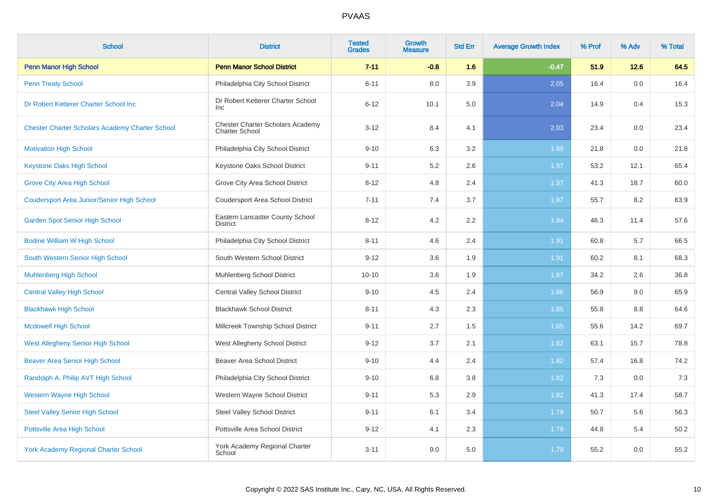| <b>School</b>                                          | <b>District</b>                                                  | <b>Tested</b><br><b>Grades</b> | <b>Growth</b><br><b>Measure</b> | <b>Std Err</b> | <b>Average Growth Index</b> | % Prof | % Adv | % Total |
|--------------------------------------------------------|------------------------------------------------------------------|--------------------------------|---------------------------------|----------------|-----------------------------|--------|-------|---------|
| <b>Penn Manor High School</b>                          | <b>Penn Manor School District</b>                                | $7 - 11$                       | $-0.8$                          | 1.6            | $-0.47$                     | 51.9   | 12.6  | 64.5    |
| <b>Penn Treaty School</b>                              | Philadelphia City School District                                | $6 - 11$                       | 8.0                             | 3.9            | 2.05                        | 16.4   | 0.0   | 16.4    |
| Dr Robert Ketterer Charter School Inc                  | Dr Robert Ketterer Charter School<br>Inc.                        | $6 - 12$                       | 10.1                            | 5.0            | 2.04                        | 14.9   | 0.4   | 15.3    |
| <b>Chester Charter Scholars Academy Charter School</b> | <b>Chester Charter Scholars Academy</b><br><b>Charter School</b> | $3 - 12$                       | 8.4                             | 4.1            | 2.03                        | 23.4   | 0.0   | 23.4    |
| <b>Motivation High School</b>                          | Philadelphia City School District                                | $9 - 10$                       | 6.3                             | 3.2            | 1.99                        | 21.8   | 0.0   | 21.8    |
| <b>Keystone Oaks High School</b>                       | Keystone Oaks School District                                    | $9 - 11$                       | 5.2                             | 2.6            | 1.97                        | 53.2   | 12.1  | 65.4    |
| <b>Grove City Area High School</b>                     | Grove City Area School District                                  | $8 - 12$                       | 4.8                             | 2.4            | 1.97                        | 41.3   | 18.7  | 60.0    |
| <b>Coudersport Area Junior/Senior High School</b>      | <b>Coudersport Area School District</b>                          | $7 - 11$                       | 7.4                             | 3.7            | 1.97                        | 55.7   | 8.2   | 63.9    |
| <b>Garden Spot Senior High School</b>                  | Eastern Lancaster County School<br><b>District</b>               | $8 - 12$                       | 4.2                             | $2.2\,$        | 1.94                        | 46.3   | 11.4  | 57.6    |
| <b>Bodine William W High School</b>                    | Philadelphia City School District                                | $8 - 11$                       | 4.6                             | 2.4            | 1.91                        | 60.8   | 5.7   | 66.5    |
| South Western Senior High School                       | South Western School District                                    | $9 - 12$                       | 3.6                             | 1.9            | 1.91                        | 60.2   | 8.1   | 68.3    |
| <b>Muhlenberg High School</b>                          | Muhlenberg School District                                       | $10 - 10$                      | 3.6                             | 1.9            | 1.87                        | 34.2   | 2.6   | 36.8    |
| <b>Central Valley High School</b>                      | <b>Central Valley School District</b>                            | $9 - 10$                       | 4.5                             | 2.4            | 1.86                        | 56.9   | 9.0   | 65.9    |
| <b>Blackhawk High School</b>                           | <b>Blackhawk School District</b>                                 | $8 - 11$                       | 4.3                             | 2.3            | 1.85                        | 55.8   | 8.8   | 64.6    |
| <b>Mcdowell High School</b>                            | Millcreek Township School District                               | $9 - 11$                       | 2.7                             | 1.5            | 1.85                        | 55.6   | 14.2  | 69.7    |
| <b>West Allegheny Senior High School</b>               | West Allegheny School District                                   | $9 - 12$                       | 3.7                             | 2.1            | 1.82                        | 63.1   | 15.7  | 78.8    |
| <b>Beaver Area Senior High School</b>                  | <b>Beaver Area School District</b>                               | $9 - 10$                       | 4.4                             | 2.4            | 1.82                        | 57.4   | 16.8  | 74.2    |
| Randolph A. Philip AVT High School                     | Philadelphia City School District                                | $9 - 10$                       | 6.8                             | 3.8            | 1.82                        | 7.3    | 0.0   | 7.3     |
| <b>Western Wayne High School</b>                       | Western Wayne School District                                    | $9 - 11$                       | 5.3                             | 2.9            | 1.82                        | 41.3   | 17.4  | 58.7    |
| <b>Steel Valley Senior High School</b>                 | <b>Steel Valley School District</b>                              | $9 - 11$                       | 6.1                             | 3.4            | 1.79                        | 50.7   | 5.6   | 56.3    |
| Pottsville Area High School                            | Pottsville Area School District                                  | $9 - 12$                       | 4.1                             | 2.3            | 1.79                        | 44.8   | 5.4   | 50.2    |
| <b>York Academy Regional Charter School</b>            | York Academy Regional Charter<br>School                          | $3 - 11$                       | 9.0                             | 5.0            | 1.79                        | 55.2   | 0.0   | 55.2    |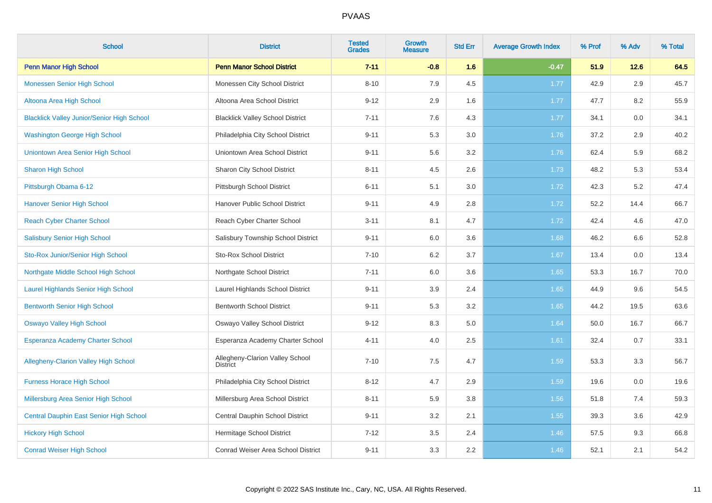| <b>School</b>                                     | <b>District</b>                                    | <b>Tested</b><br><b>Grades</b> | <b>Growth</b><br><b>Measure</b> | <b>Std Err</b> | <b>Average Growth Index</b> | % Prof | % Adv | % Total |
|---------------------------------------------------|----------------------------------------------------|--------------------------------|---------------------------------|----------------|-----------------------------|--------|-------|---------|
| <b>Penn Manor High School</b>                     | <b>Penn Manor School District</b>                  | $7 - 11$                       | $-0.8$                          | 1.6            | $-0.47$                     | 51.9   | 12.6  | 64.5    |
| <b>Monessen Senior High School</b>                | Monessen City School District                      | $8 - 10$                       | 7.9                             | 4.5            | 1.77                        | 42.9   | 2.9   | 45.7    |
| Altoona Area High School                          | Altoona Area School District                       | $9 - 12$                       | 2.9                             | 1.6            | 1.77                        | 47.7   | 8.2   | 55.9    |
| <b>Blacklick Valley Junior/Senior High School</b> | <b>Blacklick Valley School District</b>            | $7 - 11$                       | 7.6                             | 4.3            | 1.77                        | 34.1   | 0.0   | 34.1    |
| <b>Washington George High School</b>              | Philadelphia City School District                  | $9 - 11$                       | 5.3                             | 3.0            | 1.76                        | 37.2   | 2.9   | 40.2    |
| Uniontown Area Senior High School                 | Uniontown Area School District                     | $9 - 11$                       | 5.6                             | 3.2            | 1.76                        | 62.4   | 5.9   | 68.2    |
| <b>Sharon High School</b>                         | Sharon City School District                        | $8 - 11$                       | 4.5                             | 2.6            | 1.73                        | 48.2   | 5.3   | 53.4    |
| Pittsburgh Obama 6-12                             | Pittsburgh School District                         | $6 - 11$                       | 5.1                             | 3.0            | 1.72                        | 42.3   | 5.2   | 47.4    |
| <b>Hanover Senior High School</b>                 | Hanover Public School District                     | $9 - 11$                       | 4.9                             | 2.8            | 1.72                        | 52.2   | 14.4  | 66.7    |
| <b>Reach Cyber Charter School</b>                 | Reach Cyber Charter School                         | $3 - 11$                       | 8.1                             | 4.7            | 1.72                        | 42.4   | 4.6   | 47.0    |
| <b>Salisbury Senior High School</b>               | Salisbury Township School District                 | $9 - 11$                       | 6.0                             | 3.6            | 1.68                        | 46.2   | 6.6   | 52.8    |
| Sto-Rox Junior/Senior High School                 | <b>Sto-Rox School District</b>                     | $7 - 10$                       | 6.2                             | 3.7            | 1.67                        | 13.4   | 0.0   | 13.4    |
| Northgate Middle School High School               | Northgate School District                          | $7 - 11$                       | 6.0                             | 3.6            | 1.65                        | 53.3   | 16.7  | 70.0    |
| <b>Laurel Highlands Senior High School</b>        | Laurel Highlands School District                   | $9 - 11$                       | 3.9                             | 2.4            | 1.65                        | 44.9   | 9.6   | 54.5    |
| <b>Bentworth Senior High School</b>               | <b>Bentworth School District</b>                   | $9 - 11$                       | 5.3                             | 3.2            | 1.65                        | 44.2   | 19.5  | 63.6    |
| <b>Oswayo Valley High School</b>                  | Oswayo Valley School District                      | $9 - 12$                       | 8.3                             | 5.0            | 1.64                        | 50.0   | 16.7  | 66.7    |
| <b>Esperanza Academy Charter School</b>           | Esperanza Academy Charter School                   | $4 - 11$                       | 4.0                             | 2.5            | 1.61                        | 32.4   | 0.7   | 33.1    |
| <b>Allegheny-Clarion Valley High School</b>       | Allegheny-Clarion Valley School<br><b>District</b> | $7 - 10$                       | 7.5                             | 4.7            | 1.59                        | 53.3   | 3.3   | 56.7    |
| <b>Furness Horace High School</b>                 | Philadelphia City School District                  | $8 - 12$                       | 4.7                             | 2.9            | 1.59                        | 19.6   | 0.0   | 19.6    |
| Millersburg Area Senior High School               | Millersburg Area School District                   | $8 - 11$                       | 5.9                             | 3.8            | 1.56                        | 51.8   | 7.4   | 59.3    |
| Central Dauphin East Senior High School           | Central Dauphin School District                    | $9 - 11$                       | 3.2                             | 2.1            | 1.55                        | 39.3   | 3.6   | 42.9    |
| <b>Hickory High School</b>                        | Hermitage School District                          | $7 - 12$                       | 3.5                             | 2.4            | 1.46                        | 57.5   | 9.3   | 66.8    |
| <b>Conrad Weiser High School</b>                  | Conrad Weiser Area School District                 | $9 - 11$                       | 3.3                             | 2.2            | 1.46                        | 52.1   | 2.1   | 54.2    |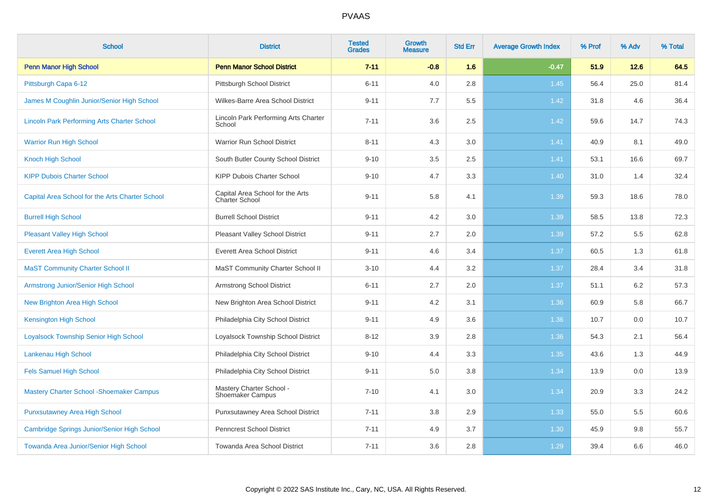| <b>School</b>                                      | <b>District</b>                                     | <b>Tested</b><br><b>Grades</b> | <b>Growth</b><br><b>Measure</b> | <b>Std Err</b> | <b>Average Growth Index</b> | % Prof | % Adv  | % Total |
|----------------------------------------------------|-----------------------------------------------------|--------------------------------|---------------------------------|----------------|-----------------------------|--------|--------|---------|
| <b>Penn Manor High School</b>                      | <b>Penn Manor School District</b>                   | $7 - 11$                       | $-0.8$                          | 1.6            | $-0.47$                     | 51.9   | $12.6$ | 64.5    |
| Pittsburgh Capa 6-12                               | Pittsburgh School District                          | $6 - 11$                       | 4.0                             | $2.8\,$        | 1.45                        | 56.4   | 25.0   | 81.4    |
| James M Coughlin Junior/Senior High School         | Wilkes-Barre Area School District                   | $9 - 11$                       | 7.7                             | 5.5            | 1.42                        | 31.8   | 4.6    | 36.4    |
| <b>Lincoln Park Performing Arts Charter School</b> | Lincoln Park Performing Arts Charter<br>School      | $7 - 11$                       | 3.6                             | 2.5            | 1.42                        | 59.6   | 14.7   | 74.3    |
| <b>Warrior Run High School</b>                     | <b>Warrior Run School District</b>                  | $8 - 11$                       | 4.3                             | 3.0            | 1.41                        | 40.9   | 8.1    | 49.0    |
| <b>Knoch High School</b>                           | South Butler County School District                 | $9 - 10$                       | 3.5                             | 2.5            | 1.41                        | 53.1   | 16.6   | 69.7    |
| <b>KIPP Dubois Charter School</b>                  | KIPP Dubois Charter School                          | $9 - 10$                       | 4.7                             | 3.3            | 1.40                        | 31.0   | 1.4    | 32.4    |
| Capital Area School for the Arts Charter School    | Capital Area School for the Arts<br>Charter School  | $9 - 11$                       | 5.8                             | 4.1            | 1.39                        | 59.3   | 18.6   | 78.0    |
| <b>Burrell High School</b>                         | <b>Burrell School District</b>                      | $9 - 11$                       | 4.2                             | 3.0            | 1.39                        | 58.5   | 13.8   | 72.3    |
| <b>Pleasant Valley High School</b>                 | Pleasant Valley School District                     | $9 - 11$                       | 2.7                             | 2.0            | 1.39                        | 57.2   | 5.5    | 62.8    |
| <b>Everett Area High School</b>                    | <b>Everett Area School District</b>                 | $9 - 11$                       | 4.6                             | 3.4            | 1.37                        | 60.5   | 1.3    | 61.8    |
| <b>MaST Community Charter School II</b>            | MaST Community Charter School II                    | $3 - 10$                       | 4.4                             | 3.2            | 1.37                        | 28.4   | 3.4    | 31.8    |
| <b>Armstrong Junior/Senior High School</b>         | Armstrong School District                           | $6 - 11$                       | 2.7                             | 2.0            | 1.37                        | 51.1   | 6.2    | 57.3    |
| New Brighton Area High School                      | New Brighton Area School District                   | $9 - 11$                       | 4.2                             | 3.1            | 1.36                        | 60.9   | 5.8    | 66.7    |
| <b>Kensington High School</b>                      | Philadelphia City School District                   | $9 - 11$                       | 4.9                             | 3.6            | 1.36                        | 10.7   | 0.0    | 10.7    |
| <b>Loyalsock Township Senior High School</b>       | Loyalsock Township School District                  | $8 - 12$                       | 3.9                             | 2.8            | 1.36                        | 54.3   | 2.1    | 56.4    |
| Lankenau High School                               | Philadelphia City School District                   | $9 - 10$                       | 4.4                             | 3.3            | 1.35                        | 43.6   | 1.3    | 44.9    |
| <b>Fels Samuel High School</b>                     | Philadelphia City School District                   | $9 - 11$                       | 5.0                             | 3.8            | 1.34                        | 13.9   | 0.0    | 13.9    |
| <b>Mastery Charter School - Shoemaker Campus</b>   | Mastery Charter School -<br><b>Shoemaker Campus</b> | $7 - 10$                       | 4.1                             | 3.0            | 1.34                        | 20.9   | 3.3    | 24.2    |
| <b>Punxsutawney Area High School</b>               | Punxsutawney Area School District                   | $7 - 11$                       | 3.8                             | 2.9            | 1.33                        | 55.0   | 5.5    | 60.6    |
| Cambridge Springs Junior/Senior High School        | Penncrest School District                           | $7 - 11$                       | 4.9                             | 3.7            | 1.30                        | 45.9   | 9.8    | 55.7    |
| Towanda Area Junior/Senior High School             | Towanda Area School District                        | $7 - 11$                       | 3.6                             | 2.8            | 1.29                        | 39.4   | 6.6    | 46.0    |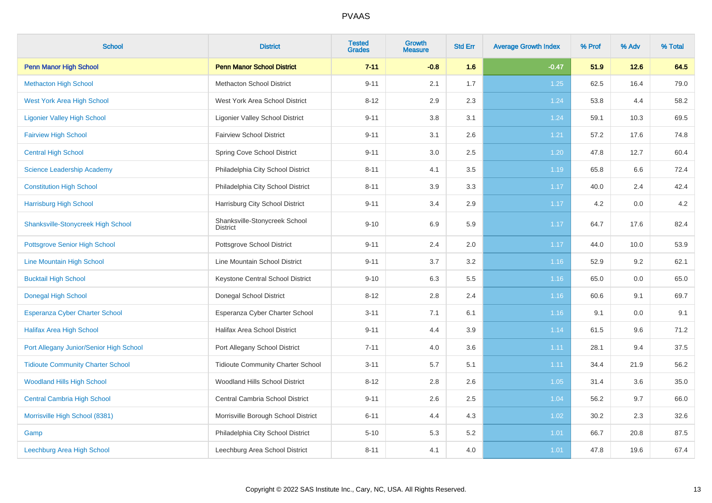| <b>School</b>                             | <b>District</b>                                  | <b>Tested</b><br><b>Grades</b> | <b>Growth</b><br><b>Measure</b> | <b>Std Err</b> | <b>Average Growth Index</b> | % Prof | % Adv  | % Total |
|-------------------------------------------|--------------------------------------------------|--------------------------------|---------------------------------|----------------|-----------------------------|--------|--------|---------|
| <b>Penn Manor High School</b>             | <b>Penn Manor School District</b>                | $7 - 11$                       | $-0.8$                          | 1.6            | $-0.47$                     | 51.9   | $12.6$ | 64.5    |
| <b>Methacton High School</b>              | <b>Methacton School District</b>                 | $9 - 11$                       | 2.1                             | 1.7            | 1.25                        | 62.5   | 16.4   | 79.0    |
| <b>West York Area High School</b>         | West York Area School District                   | $8 - 12$                       | 2.9                             | 2.3            | 1.24                        | 53.8   | 4.4    | 58.2    |
| <b>Ligonier Valley High School</b>        | <b>Ligonier Valley School District</b>           | $9 - 11$                       | 3.8                             | 3.1            | 1.24                        | 59.1   | 10.3   | 69.5    |
| <b>Fairview High School</b>               | <b>Fairview School District</b>                  | $9 - 11$                       | 3.1                             | 2.6            | 1.21                        | 57.2   | 17.6   | 74.8    |
| <b>Central High School</b>                | Spring Cove School District                      | $9 - 11$                       | 3.0                             | 2.5            | 1.20                        | 47.8   | 12.7   | 60.4    |
| <b>Science Leadership Academy</b>         | Philadelphia City School District                | $8 - 11$                       | 4.1                             | 3.5            | 1.19                        | 65.8   | 6.6    | 72.4    |
| <b>Constitution High School</b>           | Philadelphia City School District                | $8 - 11$                       | 3.9                             | 3.3            | 1.17                        | 40.0   | 2.4    | 42.4    |
| <b>Harrisburg High School</b>             | Harrisburg City School District                  | $9 - 11$                       | 3.4                             | 2.9            | 1.17                        | 4.2    | 0.0    | 4.2     |
| <b>Shanksville-Stonycreek High School</b> | Shanksville-Stonycreek School<br><b>District</b> | $9 - 10$                       | 6.9                             | 5.9            | 1.17                        | 64.7   | 17.6   | 82.4    |
| <b>Pottsgrove Senior High School</b>      | Pottsgrove School District                       | $9 - 11$                       | 2.4                             | 2.0            | 1.17                        | 44.0   | 10.0   | 53.9    |
| Line Mountain High School                 | Line Mountain School District                    | $9 - 11$                       | 3.7                             | $3.2\,$        | 1.16                        | 52.9   | 9.2    | 62.1    |
| <b>Bucktail High School</b>               | Keystone Central School District                 | $9 - 10$                       | 6.3                             | 5.5            | 1.16                        | 65.0   | 0.0    | 65.0    |
| <b>Donegal High School</b>                | Donegal School District                          | $8 - 12$                       | 2.8                             | 2.4            | 1.16                        | 60.6   | 9.1    | 69.7    |
| <b>Esperanza Cyber Charter School</b>     | Esperanza Cyber Charter School                   | $3 - 11$                       | 7.1                             | 6.1            | 1.16                        | 9.1    | 0.0    | 9.1     |
| <b>Halifax Area High School</b>           | <b>Halifax Area School District</b>              | $9 - 11$                       | 4.4                             | 3.9            | 1.14                        | 61.5   | 9.6    | 71.2    |
| Port Allegany Junior/Senior High School   | Port Allegany School District                    | $7 - 11$                       | 4.0                             | 3.6            | 1.11                        | 28.1   | 9.4    | 37.5    |
| <b>Tidioute Community Charter School</b>  | <b>Tidioute Community Charter School</b>         | $3 - 11$                       | 5.7                             | 5.1            | 1.11                        | 34.4   | 21.9   | 56.2    |
| <b>Woodland Hills High School</b>         | Woodland Hills School District                   | $8 - 12$                       | 2.8                             | 2.6            | 1.05                        | 31.4   | 3.6    | 35.0    |
| <b>Central Cambria High School</b>        | Central Cambria School District                  | $9 - 11$                       | 2.6                             | 2.5            | 1.04                        | 56.2   | 9.7    | 66.0    |
| Morrisville High School (8381)            | Morrisville Borough School District              | $6 - 11$                       | 4.4                             | 4.3            | 1.02                        | 30.2   | 2.3    | 32.6    |
| Gamp                                      | Philadelphia City School District                | $5 - 10$                       | 5.3                             | 5.2            | 1.01                        | 66.7   | 20.8   | 87.5    |
| Leechburg Area High School                | Leechburg Area School District                   | $8 - 11$                       | 4.1                             | 4.0            | 1.01                        | 47.8   | 19.6   | 67.4    |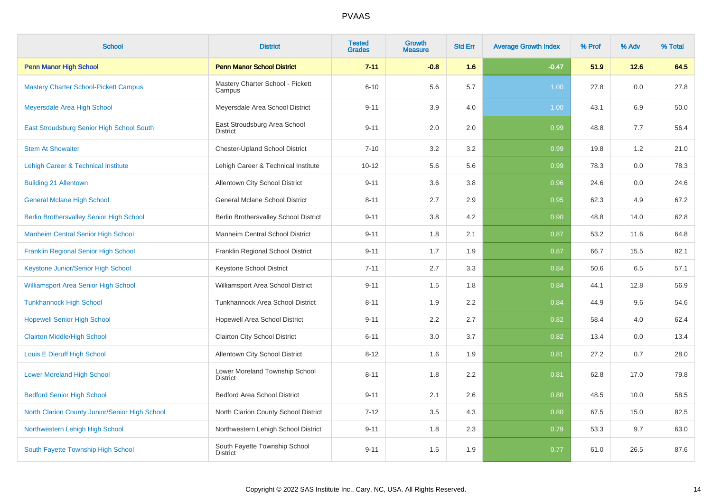| <b>School</b>                                   | <b>District</b>                                   | <b>Tested</b><br><b>Grades</b> | <b>Growth</b><br><b>Measure</b> | <b>Std Err</b> | <b>Average Growth Index</b> | % Prof | % Adv | % Total |
|-------------------------------------------------|---------------------------------------------------|--------------------------------|---------------------------------|----------------|-----------------------------|--------|-------|---------|
| <b>Penn Manor High School</b>                   | <b>Penn Manor School District</b>                 | $7 - 11$                       | $-0.8$                          | 1.6            | $-0.47$                     | 51.9   | 12.6  | 64.5    |
| <b>Mastery Charter School-Pickett Campus</b>    | Mastery Charter School - Pickett<br>Campus        | $6 - 10$                       | 5.6                             | 5.7            | 1.00                        | 27.8   | 0.0   | 27.8    |
| Meyersdale Area High School                     | Meyersdale Area School District                   | $9 - 11$                       | 3.9                             | 4.0            | 1.00                        | 43.1   | 6.9   | 50.0    |
| East Stroudsburg Senior High School South       | East Stroudsburg Area School<br><b>District</b>   | $9 - 11$                       | 2.0                             | 2.0            | 0.99                        | 48.8   | 7.7   | 56.4    |
| <b>Stem At Showalter</b>                        | <b>Chester-Upland School District</b>             | $7 - 10$                       | 3.2                             | 3.2            | 0.99                        | 19.8   | 1.2   | 21.0    |
| <b>Lehigh Career &amp; Technical Institute</b>  | Lehigh Career & Technical Institute               | $10 - 12$                      | 5.6                             | 5.6            | 0.99                        | 78.3   | 0.0   | 78.3    |
| <b>Building 21 Allentown</b>                    | Allentown City School District                    | $9 - 11$                       | 3.6                             | 3.8            | 0.96                        | 24.6   | 0.0   | 24.6    |
| <b>General Mclane High School</b>               | <b>General Mclane School District</b>             | $8 - 11$                       | 2.7                             | 2.9            | 0.95                        | 62.3   | 4.9   | 67.2    |
| <b>Berlin Brothersvalley Senior High School</b> | Berlin Brothersvalley School District             | $9 - 11$                       | 3.8                             | 4.2            | 0.90                        | 48.8   | 14.0  | 62.8    |
| <b>Manheim Central Senior High School</b>       | Manheim Central School District                   | $9 - 11$                       | 1.8                             | 2.1            | 0.87                        | 53.2   | 11.6  | 64.8    |
| <b>Franklin Regional Senior High School</b>     | Franklin Regional School District                 | $9 - 11$                       | 1.7                             | 1.9            | 0.87                        | 66.7   | 15.5  | 82.1    |
| Keystone Junior/Senior High School              | Keystone School District                          | $7 - 11$                       | 2.7                             | 3.3            | 0.84                        | 50.6   | 6.5   | 57.1    |
| <b>Williamsport Area Senior High School</b>     | Williamsport Area School District                 | $9 - 11$                       | 1.5                             | 1.8            | 0.84                        | 44.1   | 12.8  | 56.9    |
| <b>Tunkhannock High School</b>                  | <b>Tunkhannock Area School District</b>           | $8 - 11$                       | 1.9                             | 2.2            | 0.84                        | 44.9   | 9.6   | 54.6    |
| <b>Hopewell Senior High School</b>              | Hopewell Area School District                     | $9 - 11$                       | 2.2                             | 2.7            | 0.82                        | 58.4   | 4.0   | 62.4    |
| <b>Clairton Middle/High School</b>              | <b>Clairton City School District</b>              | $6 - 11$                       | 3.0                             | 3.7            | 0.82                        | 13.4   | 0.0   | 13.4    |
| Louis E Dieruff High School                     | Allentown City School District                    | $8 - 12$                       | 1.6                             | 1.9            | 0.81                        | 27.2   | 0.7   | 28.0    |
| <b>Lower Moreland High School</b>               | Lower Moreland Township School<br><b>District</b> | $8 - 11$                       | 1.8                             | 2.2            | 0.81                        | 62.8   | 17.0  | 79.8    |
| <b>Bedford Senior High School</b>               | <b>Bedford Area School District</b>               | $9 - 11$                       | 2.1                             | 2.6            | 0.80                        | 48.5   | 10.0  | 58.5    |
| North Clarion County Junior/Senior High School  | North Clarion County School District              | $7 - 12$                       | 3.5                             | 4.3            | 0.80                        | 67.5   | 15.0  | 82.5    |
| Northwestern Lehigh High School                 | Northwestern Lehigh School District               | $9 - 11$                       | 1.8                             | 2.3            | 0.79                        | 53.3   | 9.7   | 63.0    |
| South Fayette Township High School              | South Fayette Township School<br><b>District</b>  | $9 - 11$                       | 1.5                             | 1.9            | 0.77                        | 61.0   | 26.5  | 87.6    |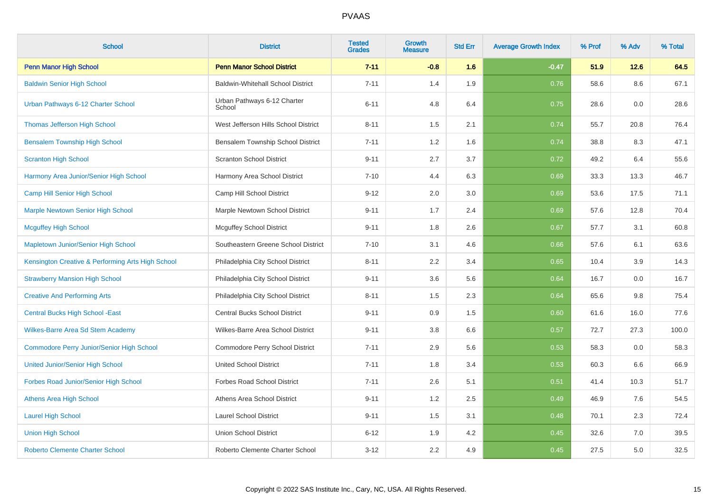| <b>School</b>                                     | <b>District</b>                          | <b>Tested</b><br><b>Grades</b> | Growth<br><b>Measure</b> | <b>Std Err</b> | <b>Average Growth Index</b> | % Prof | % Adv | % Total |
|---------------------------------------------------|------------------------------------------|--------------------------------|--------------------------|----------------|-----------------------------|--------|-------|---------|
| <b>Penn Manor High School</b>                     | <b>Penn Manor School District</b>        | $7 - 11$                       | $-0.8$                   | 1.6            | $-0.47$                     | 51.9   | 12.6  | 64.5    |
| <b>Baldwin Senior High School</b>                 | <b>Baldwin-Whitehall School District</b> | $7 - 11$                       | 1.4                      | 1.9            | 0.76                        | 58.6   | 8.6   | 67.1    |
| Urban Pathways 6-12 Charter School                | Urban Pathways 6-12 Charter<br>School    | $6 - 11$                       | 4.8                      | 6.4            | 0.75                        | 28.6   | 0.0   | 28.6    |
| Thomas Jefferson High School                      | West Jefferson Hills School District     | $8 - 11$                       | 1.5                      | 2.1            | 0.74                        | 55.7   | 20.8  | 76.4    |
| <b>Bensalem Township High School</b>              | Bensalem Township School District        | $7 - 11$                       | 1.2                      | 1.6            | 0.74                        | 38.8   | 8.3   | 47.1    |
| <b>Scranton High School</b>                       | <b>Scranton School District</b>          | $9 - 11$                       | 2.7                      | 3.7            | 0.72                        | 49.2   | 6.4   | 55.6    |
| Harmony Area Junior/Senior High School            | Harmony Area School District             | $7 - 10$                       | 4.4                      | 6.3            | 0.69                        | 33.3   | 13.3  | 46.7    |
| Camp Hill Senior High School                      | Camp Hill School District                | $9 - 12$                       | 2.0                      | 3.0            | 0.69                        | 53.6   | 17.5  | 71.1    |
| Marple Newtown Senior High School                 | Marple Newtown School District           | $9 - 11$                       | 1.7                      | 2.4            | 0.69                        | 57.6   | 12.8  | 70.4    |
| <b>Mcguffey High School</b>                       | <b>Mcguffey School District</b>          | $9 - 11$                       | 1.8                      | 2.6            | 0.67                        | 57.7   | 3.1   | 60.8    |
| Mapletown Junior/Senior High School               | Southeastern Greene School District      | $7 - 10$                       | 3.1                      | 4.6            | 0.66                        | 57.6   | 6.1   | 63.6    |
| Kensington Creative & Performing Arts High School | Philadelphia City School District        | $8 - 11$                       | 2.2                      | 3.4            | 0.65                        | 10.4   | 3.9   | 14.3    |
| <b>Strawberry Mansion High School</b>             | Philadelphia City School District        | $9 - 11$                       | 3.6                      | 5.6            | 0.64                        | 16.7   | 0.0   | 16.7    |
| <b>Creative And Performing Arts</b>               | Philadelphia City School District        | $8 - 11$                       | 1.5                      | 2.3            | 0.64                        | 65.6   | 9.8   | 75.4    |
| <b>Central Bucks High School - East</b>           | <b>Central Bucks School District</b>     | $9 - 11$                       | 0.9                      | 1.5            | 0.60                        | 61.6   | 16.0  | 77.6    |
| <b>Wilkes-Barre Area Sd Stem Academy</b>          | Wilkes-Barre Area School District        | $9 - 11$                       | 3.8                      | 6.6            | 0.57                        | 72.7   | 27.3  | 100.0   |
| <b>Commodore Perry Junior/Senior High School</b>  | Commodore Perry School District          | $7 - 11$                       | 2.9                      | 5.6            | 0.53                        | 58.3   | 0.0   | 58.3    |
| <b>United Junior/Senior High School</b>           | <b>United School District</b>            | $7 - 11$                       | 1.8                      | 3.4            | 0.53                        | 60.3   | 6.6   | 66.9    |
| Forbes Road Junior/Senior High School             | <b>Forbes Road School District</b>       | $7 - 11$                       | 2.6                      | 5.1            | 0.51                        | 41.4   | 10.3  | 51.7    |
| Athens Area High School                           | Athens Area School District              | $9 - 11$                       | 1.2                      | 2.5            | 0.49                        | 46.9   | 7.6   | 54.5    |
| <b>Laurel High School</b>                         | <b>Laurel School District</b>            | $9 - 11$                       | 1.5                      | 3.1            | 0.48                        | 70.1   | 2.3   | 72.4    |
| <b>Union High School</b>                          | <b>Union School District</b>             | $6 - 12$                       | 1.9                      | 4.2            | 0.45                        | 32.6   | 7.0   | 39.5    |
| <b>Roberto Clemente Charter School</b>            | Roberto Clemente Charter School          | $3 - 12$                       | 2.2                      | 4.9            | 0.45                        | 27.5   | 5.0   | 32.5    |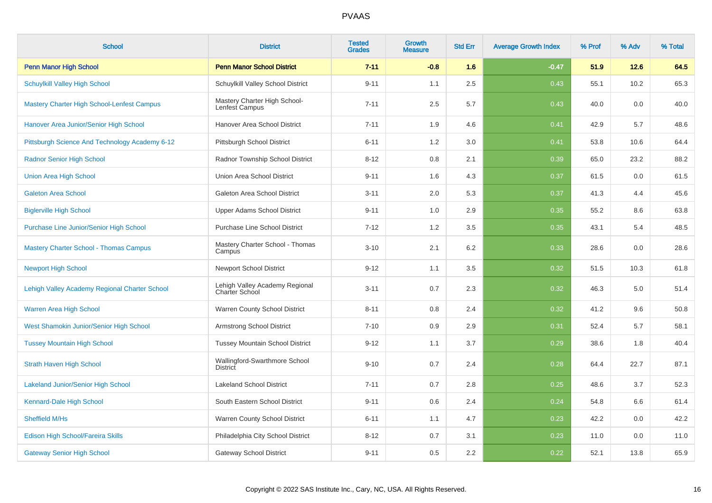| <b>School</b>                                  | <b>District</b>                                         | <b>Tested</b><br><b>Grades</b> | Growth<br><b>Measure</b> | <b>Std Err</b> | <b>Average Growth Index</b> | % Prof | % Adv | % Total |
|------------------------------------------------|---------------------------------------------------------|--------------------------------|--------------------------|----------------|-----------------------------|--------|-------|---------|
| <b>Penn Manor High School</b>                  | <b>Penn Manor School District</b>                       | $7 - 11$                       | $-0.8$                   | 1.6            | $-0.47$                     | 51.9   | 12.6  | 64.5    |
| <b>Schuylkill Valley High School</b>           | Schuylkill Valley School District                       | $9 - 11$                       | 1.1                      | 2.5            | 0.43                        | 55.1   | 10.2  | 65.3    |
| Mastery Charter High School-Lenfest Campus     | Mastery Charter High School-<br>Lenfest Campus          | $7 - 11$                       | 2.5                      | 5.7            | 0.43                        | 40.0   | 0.0   | 40.0    |
| Hanover Area Junior/Senior High School         | Hanover Area School District                            | $7 - 11$                       | 1.9                      | 4.6            | 0.41                        | 42.9   | 5.7   | 48.6    |
| Pittsburgh Science And Technology Academy 6-12 | Pittsburgh School District                              | $6 - 11$                       | 1.2                      | 3.0            | 0.41                        | 53.8   | 10.6  | 64.4    |
| <b>Radnor Senior High School</b>               | Radnor Township School District                         | $8 - 12$                       | 0.8                      | 2.1            | 0.39                        | 65.0   | 23.2  | 88.2    |
| <b>Union Area High School</b>                  | Union Area School District                              | $9 - 11$                       | 1.6                      | 4.3            | 0.37                        | 61.5   | 0.0   | 61.5    |
| <b>Galeton Area School</b>                     | Galeton Area School District                            | $3 - 11$                       | 2.0                      | 5.3            | 0.37                        | 41.3   | 4.4   | 45.6    |
| <b>Biglerville High School</b>                 | <b>Upper Adams School District</b>                      | $9 - 11$                       | 1.0                      | 2.9            | 0.35                        | 55.2   | 8.6   | 63.8    |
| Purchase Line Junior/Senior High School        | <b>Purchase Line School District</b>                    | $7 - 12$                       | 1.2                      | 3.5            | 0.35                        | 43.1   | 5.4   | 48.5    |
| <b>Mastery Charter School - Thomas Campus</b>  | Mastery Charter School - Thomas<br>Campus               | $3 - 10$                       | 2.1                      | 6.2            | 0.33                        | 28.6   | 0.0   | 28.6    |
| <b>Newport High School</b>                     | <b>Newport School District</b>                          | $9 - 12$                       | 1.1                      | 3.5            | 0.32                        | 51.5   | 10.3  | 61.8    |
| Lehigh Valley Academy Regional Charter School  | Lehigh Valley Academy Regional<br><b>Charter School</b> | $3 - 11$                       | 0.7                      | 2.3            | 0.32                        | 46.3   | 5.0   | 51.4    |
| Warren Area High School                        | Warren County School District                           | $8 - 11$                       | 0.8                      | 2.4            | 0.32                        | 41.2   | 9.6   | 50.8    |
| West Shamokin Junior/Senior High School        | Armstrong School District                               | $7 - 10$                       | 0.9                      | 2.9            | 0.31                        | 52.4   | 5.7   | 58.1    |
| <b>Tussey Mountain High School</b>             | <b>Tussey Mountain School District</b>                  | $9 - 12$                       | 1.1                      | 3.7            | 0.29                        | 38.6   | 1.8   | 40.4    |
| <b>Strath Haven High School</b>                | Wallingford-Swarthmore School<br><b>District</b>        | $9 - 10$                       | 0.7                      | 2.4            | 0.28                        | 64.4   | 22.7  | 87.1    |
| <b>Lakeland Junior/Senior High School</b>      | <b>Lakeland School District</b>                         | $7 - 11$                       | 0.7                      | 2.8            | 0.25                        | 48.6   | 3.7   | 52.3    |
| Kennard-Dale High School                       | South Eastern School District                           | $9 - 11$                       | 0.6                      | 2.4            | 0.24                        | 54.8   | 6.6   | 61.4    |
| Sheffield M/Hs                                 | Warren County School District                           | $6 - 11$                       | 1.1                      | 4.7            | 0.23                        | 42.2   | 0.0   | 42.2    |
| Edison High School/Fareira Skills              | Philadelphia City School District                       | $8 - 12$                       | 0.7                      | 3.1            | 0.23                        | 11.0   | 0.0   | 11.0    |
| <b>Gateway Senior High School</b>              | <b>Gateway School District</b>                          | $9 - 11$                       | 0.5                      | 2.2            | 0.22                        | 52.1   | 13.8  | 65.9    |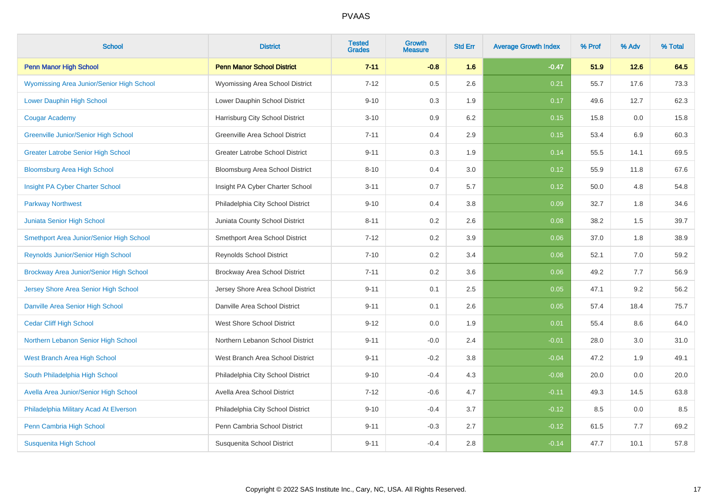| <b>School</b>                               | <b>District</b>                        | <b>Tested</b><br><b>Grades</b> | <b>Growth</b><br><b>Measure</b> | <b>Std Err</b> | <b>Average Growth Index</b> | % Prof | % Adv | % Total |
|---------------------------------------------|----------------------------------------|--------------------------------|---------------------------------|----------------|-----------------------------|--------|-------|---------|
| <b>Penn Manor High School</b>               | <b>Penn Manor School District</b>      | $7 - 11$                       | $-0.8$                          | 1.6            | $-0.47$                     | 51.9   | 12.6  | 64.5    |
| Wyomissing Area Junior/Senior High School   | Wyomissing Area School District        | $7 - 12$                       | 0.5                             | 2.6            | 0.21                        | 55.7   | 17.6  | 73.3    |
| Lower Dauphin High School                   | Lower Dauphin School District          | $9 - 10$                       | 0.3                             | 1.9            | 0.17                        | 49.6   | 12.7  | 62.3    |
| <b>Cougar Academy</b>                       | Harrisburg City School District        | $3 - 10$                       | 0.9                             | 6.2            | 0.15                        | 15.8   | 0.0   | 15.8    |
| <b>Greenville Junior/Senior High School</b> | Greenville Area School District        | $7 - 11$                       | 0.4                             | 2.9            | 0.15                        | 53.4   | 6.9   | 60.3    |
| <b>Greater Latrobe Senior High School</b>   | <b>Greater Latrobe School District</b> | $9 - 11$                       | 0.3                             | 1.9            | 0.14                        | 55.5   | 14.1  | 69.5    |
| <b>Bloomsburg Area High School</b>          | Bloomsburg Area School District        | $8 - 10$                       | 0.4                             | 3.0            | 0.12                        | 55.9   | 11.8  | 67.6    |
| Insight PA Cyber Charter School             | Insight PA Cyber Charter School        | $3 - 11$                       | 0.7                             | 5.7            | 0.12                        | 50.0   | 4.8   | 54.8    |
| <b>Parkway Northwest</b>                    | Philadelphia City School District      | $9 - 10$                       | 0.4                             | 3.8            | 0.09                        | 32.7   | 1.8   | 34.6    |
| Juniata Senior High School                  | Juniata County School District         | $8 - 11$                       | 0.2                             | 2.6            | 0.08                        | 38.2   | 1.5   | 39.7    |
| Smethport Area Junior/Senior High School    | Smethport Area School District         | $7 - 12$                       | 0.2                             | 3.9            | 0.06                        | 37.0   | 1.8   | 38.9    |
| Reynolds Junior/Senior High School          | <b>Reynolds School District</b>        | $7 - 10$                       | 0.2                             | 3.4            | 0.06                        | 52.1   | 7.0   | 59.2    |
| Brockway Area Junior/Senior High School     | Brockway Area School District          | $7 - 11$                       | 0.2                             | 3.6            | 0.06                        | 49.2   | 7.7   | 56.9    |
| Jersey Shore Area Senior High School        | Jersey Shore Area School District      | $9 - 11$                       | 0.1                             | 2.5            | 0.05                        | 47.1   | 9.2   | 56.2    |
| Danville Area Senior High School            | Danville Area School District          | $9 - 11$                       | 0.1                             | 2.6            | 0.05                        | 57.4   | 18.4  | 75.7    |
| <b>Cedar Cliff High School</b>              | <b>West Shore School District</b>      | $9 - 12$                       | 0.0                             | 1.9            | 0.01                        | 55.4   | 8.6   | 64.0    |
| Northern Lebanon Senior High School         | Northern Lebanon School District       | $9 - 11$                       | $-0.0$                          | 2.4            | $-0.01$                     | 28.0   | 3.0   | 31.0    |
| West Branch Area High School                | West Branch Area School District       | $9 - 11$                       | $-0.2$                          | 3.8            | $-0.04$                     | 47.2   | 1.9   | 49.1    |
| South Philadelphia High School              | Philadelphia City School District      | $9 - 10$                       | $-0.4$                          | 4.3            | $-0.08$                     | 20.0   | 0.0   | 20.0    |
| Avella Area Junior/Senior High School       | Avella Area School District            | $7 - 12$                       | $-0.6$                          | 4.7            | $-0.11$                     | 49.3   | 14.5  | 63.8    |
| Philadelphia Military Acad At Elverson      | Philadelphia City School District      | $9 - 10$                       | $-0.4$                          | 3.7            | $-0.12$                     | 8.5    | 0.0   | 8.5     |
| Penn Cambria High School                    | Penn Cambria School District           | $9 - 11$                       | $-0.3$                          | 2.7            | $-0.12$                     | 61.5   | 7.7   | 69.2    |
| <b>Susquenita High School</b>               | Susquenita School District             | $9 - 11$                       | $-0.4$                          | 2.8            | $-0.14$                     | 47.7   | 10.1  | 57.8    |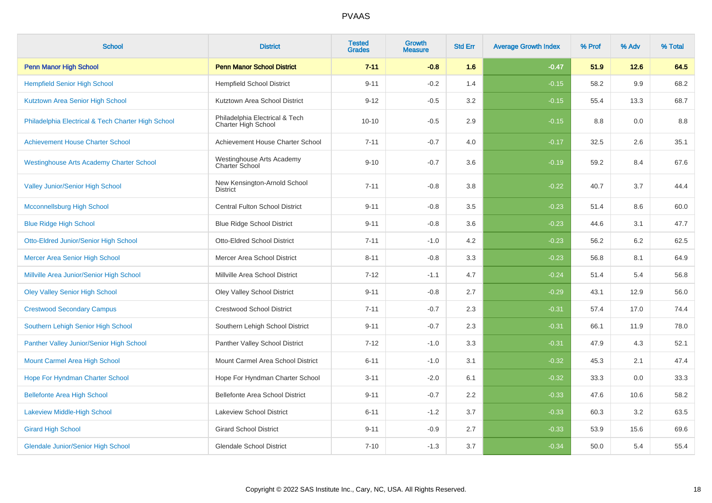| <b>School</b>                                      | <b>District</b>                                       | <b>Tested</b><br><b>Grades</b> | Growth<br><b>Measure</b> | <b>Std Err</b> | <b>Average Growth Index</b> | % Prof | % Adv | % Total |
|----------------------------------------------------|-------------------------------------------------------|--------------------------------|--------------------------|----------------|-----------------------------|--------|-------|---------|
| <b>Penn Manor High School</b>                      | <b>Penn Manor School District</b>                     | $7 - 11$                       | $-0.8$                   | 1.6            | $-0.47$                     | 51.9   | 12.6  | 64.5    |
| <b>Hempfield Senior High School</b>                | <b>Hempfield School District</b>                      | $9 - 11$                       | $-0.2$                   | 1.4            | $-0.15$                     | 58.2   | 9.9   | 68.2    |
| Kutztown Area Senior High School                   | Kutztown Area School District                         | $9 - 12$                       | $-0.5$                   | 3.2            | $-0.15$                     | 55.4   | 13.3  | 68.7    |
| Philadelphia Electrical & Tech Charter High School | Philadelphia Electrical & Tech<br>Charter High School | $10 - 10$                      | $-0.5$                   | 2.9            | $-0.15$                     | 8.8    | 0.0   | 8.8     |
| <b>Achievement House Charter School</b>            | Achievement House Charter School                      | $7 - 11$                       | $-0.7$                   | 4.0            | $-0.17$                     | 32.5   | 2.6   | 35.1    |
| <b>Westinghouse Arts Academy Charter School</b>    | Westinghouse Arts Academy<br>Charter School           | $9 - 10$                       | $-0.7$                   | 3.6            | $-0.19$                     | 59.2   | 8.4   | 67.6    |
| Valley Junior/Senior High School                   | New Kensington-Arnold School<br><b>District</b>       | $7 - 11$                       | $-0.8$                   | 3.8            | $-0.22$                     | 40.7   | 3.7   | 44.4    |
| <b>Mcconnellsburg High School</b>                  | <b>Central Fulton School District</b>                 | $9 - 11$                       | $-0.8$                   | 3.5            | $-0.23$                     | 51.4   | 8.6   | 60.0    |
| <b>Blue Ridge High School</b>                      | <b>Blue Ridge School District</b>                     | $9 - 11$                       | $-0.8$                   | 3.6            | $-0.23$                     | 44.6   | 3.1   | 47.7    |
| <b>Otto-Eldred Junior/Senior High School</b>       | <b>Otto-Eldred School District</b>                    | $7 - 11$                       | $-1.0$                   | 4.2            | $-0.23$                     | 56.2   | 6.2   | 62.5    |
| Mercer Area Senior High School                     | Mercer Area School District                           | $8 - 11$                       | $-0.8$                   | 3.3            | $-0.23$                     | 56.8   | 8.1   | 64.9    |
| Millville Area Junior/Senior High School           | Millville Area School District                        | $7 - 12$                       | $-1.1$                   | 4.7            | $-0.24$                     | 51.4   | 5.4   | 56.8    |
| <b>Oley Valley Senior High School</b>              | Oley Valley School District                           | $9 - 11$                       | $-0.8$                   | 2.7            | $-0.29$                     | 43.1   | 12.9  | 56.0    |
| <b>Crestwood Secondary Campus</b>                  | <b>Crestwood School District</b>                      | $7 - 11$                       | $-0.7$                   | 2.3            | $-0.31$                     | 57.4   | 17.0  | 74.4    |
| Southern Lehigh Senior High School                 | Southern Lehigh School District                       | $9 - 11$                       | $-0.7$                   | 2.3            | $-0.31$                     | 66.1   | 11.9  | 78.0    |
| Panther Valley Junior/Senior High School           | Panther Valley School District                        | $7 - 12$                       | $-1.0$                   | 3.3            | $-0.31$                     | 47.9   | 4.3   | 52.1    |
| Mount Carmel Area High School                      | Mount Carmel Area School District                     | $6 - 11$                       | $-1.0$                   | 3.1            | $-0.32$                     | 45.3   | 2.1   | 47.4    |
| Hope For Hyndman Charter School                    | Hope For Hyndman Charter School                       | $3 - 11$                       | $-2.0$                   | 6.1            | $-0.32$                     | 33.3   | 0.0   | 33.3    |
| <b>Bellefonte Area High School</b>                 | Bellefonte Area School District                       | $9 - 11$                       | $-0.7$                   | 2.2            | $-0.33$                     | 47.6   | 10.6  | 58.2    |
| <b>Lakeview Middle-High School</b>                 | <b>Lakeview School District</b>                       | $6 - 11$                       | $-1.2$                   | 3.7            | $-0.33$                     | 60.3   | 3.2   | 63.5    |
| <b>Girard High School</b>                          | <b>Girard School District</b>                         | $9 - 11$                       | $-0.9$                   | 2.7            | $-0.33$                     | 53.9   | 15.6  | 69.6    |
| <b>Glendale Junior/Senior High School</b>          | <b>Glendale School District</b>                       | $7 - 10$                       | $-1.3$                   | 3.7            | $-0.34$                     | 50.0   | 5.4   | 55.4    |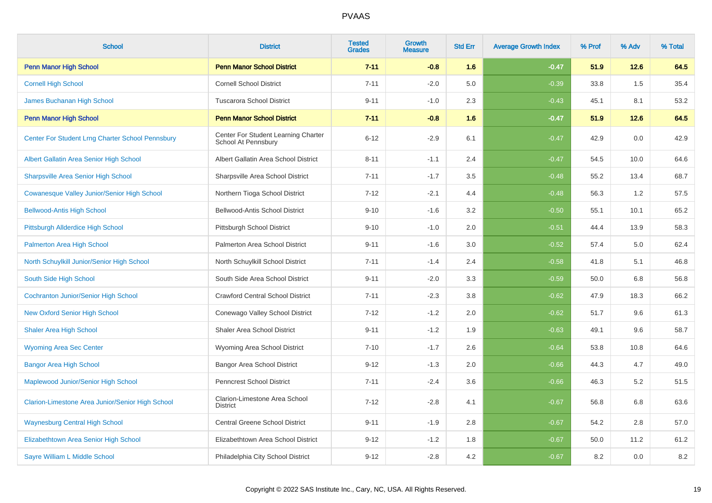| <b>School</b>                                      | <b>District</b>                                            | <b>Tested</b><br><b>Grades</b> | <b>Growth</b><br><b>Measure</b> | <b>Std Err</b> | <b>Average Growth Index</b> | % Prof | % Adv | % Total |
|----------------------------------------------------|------------------------------------------------------------|--------------------------------|---------------------------------|----------------|-----------------------------|--------|-------|---------|
| <b>Penn Manor High School</b>                      | <b>Penn Manor School District</b>                          | $7 - 11$                       | $-0.8$                          | 1.6            | $-0.47$                     | 51.9   | 12.6  | 64.5    |
| <b>Cornell High School</b>                         | <b>Cornell School District</b>                             | $7 - 11$                       | $-2.0$                          | 5.0            | $-0.39$                     | 33.8   | 1.5   | 35.4    |
| James Buchanan High School                         | <b>Tuscarora School District</b>                           | $9 - 11$                       | $-1.0$                          | 2.3            | $-0.43$                     | 45.1   | 8.1   | 53.2    |
| <b>Penn Manor High School</b>                      | <b>Penn Manor School District</b>                          | $7 - 11$                       | $-0.8$                          | 1.6            | $-0.47$                     | 51.9   | 12.6  | 64.5    |
| Center For Student Lrng Charter School Pennsbury   | Center For Student Learning Charter<br>School At Pennsbury | $6 - 12$                       | $-2.9$                          | 6.1            | $-0.47$                     | 42.9   | 0.0   | 42.9    |
| Albert Gallatin Area Senior High School            | Albert Gallatin Area School District                       | $8 - 11$                       | $-1.1$                          | 2.4            | $-0.47$                     | 54.5   | 10.0  | 64.6    |
| <b>Sharpsville Area Senior High School</b>         | Sharpsville Area School District                           | $7 - 11$                       | $-1.7$                          | 3.5            | $-0.48$                     | 55.2   | 13.4  | 68.7    |
| <b>Cowanesque Valley Junior/Senior High School</b> | Northern Tioga School District                             | $7 - 12$                       | $-2.1$                          | 4.4            | $-0.48$                     | 56.3   | 1.2   | 57.5    |
| <b>Bellwood-Antis High School</b>                  | <b>Bellwood-Antis School District</b>                      | $9 - 10$                       | $-1.6$                          | 3.2            | $-0.50$                     | 55.1   | 10.1  | 65.2    |
| Pittsburgh Allderdice High School                  | Pittsburgh School District                                 | $9 - 10$                       | $-1.0$                          | 2.0            | $-0.51$                     | 44.4   | 13.9  | 58.3    |
| <b>Palmerton Area High School</b>                  | Palmerton Area School District                             | $9 - 11$                       | $-1.6$                          | 3.0            | $-0.52$                     | 57.4   | 5.0   | 62.4    |
| North Schuylkill Junior/Senior High School         | North Schuylkill School District                           | $7 - 11$                       | $-1.4$                          | 2.4            | $-0.58$                     | 41.8   | 5.1   | 46.8    |
| South Side High School                             | South Side Area School District                            | $9 - 11$                       | $-2.0$                          | 3.3            | $-0.59$                     | 50.0   | 6.8   | 56.8    |
| <b>Cochranton Junior/Senior High School</b>        | <b>Crawford Central School District</b>                    | $7 - 11$                       | $-2.3$                          | 3.8            | $-0.62$                     | 47.9   | 18.3  | 66.2    |
| <b>New Oxford Senior High School</b>               | Conewago Valley School District                            | $7 - 12$                       | $-1.2$                          | 2.0            | $-0.62$                     | 51.7   | 9.6   | 61.3    |
| <b>Shaler Area High School</b>                     | <b>Shaler Area School District</b>                         | $9 - 11$                       | $-1.2$                          | 1.9            | $-0.63$                     | 49.1   | 9.6   | 58.7    |
| <b>Wyoming Area Sec Center</b>                     | Wyoming Area School District                               | $7 - 10$                       | $-1.7$                          | 2.6            | $-0.64$                     | 53.8   | 10.8  | 64.6    |
| <b>Bangor Area High School</b>                     | <b>Bangor Area School District</b>                         | $9 - 12$                       | $-1.3$                          | 2.0            | $-0.66$                     | 44.3   | 4.7   | 49.0    |
| Maplewood Junior/Senior High School                | <b>Penncrest School District</b>                           | $7 - 11$                       | $-2.4$                          | 3.6            | $-0.66$                     | 46.3   | 5.2   | 51.5    |
| Clarion-Limestone Area Junior/Senior High School   | Clarion-Limestone Area School<br><b>District</b>           | $7 - 12$                       | $-2.8$                          | 4.1            | $-0.67$                     | 56.8   | 6.8   | 63.6    |
| <b>Waynesburg Central High School</b>              | <b>Central Greene School District</b>                      | $9 - 11$                       | $-1.9$                          | 2.8            | $-0.67$                     | 54.2   | 2.8   | 57.0    |
| Elizabethtown Area Senior High School              | Elizabethtown Area School District                         | $9 - 12$                       | $-1.2$                          | 1.8            | $-0.67$                     | 50.0   | 11.2  | 61.2    |
| Sayre William L Middle School                      | Philadelphia City School District                          | $9 - 12$                       | $-2.8$                          | 4.2            | $-0.67$                     | 8.2    | 0.0   | $8.2\,$ |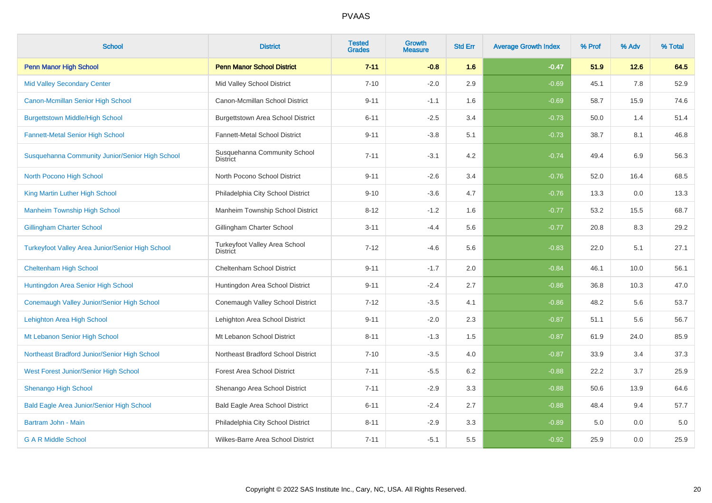| <b>School</b>                                           | <b>District</b>                                  | <b>Tested</b><br><b>Grades</b> | Growth<br><b>Measure</b> | <b>Std Err</b> | <b>Average Growth Index</b> | % Prof | % Adv | % Total |
|---------------------------------------------------------|--------------------------------------------------|--------------------------------|--------------------------|----------------|-----------------------------|--------|-------|---------|
| <b>Penn Manor High School</b>                           | <b>Penn Manor School District</b>                | $7 - 11$                       | $-0.8$                   | 1.6            | $-0.47$                     | 51.9   | 12.6  | 64.5    |
| <b>Mid Valley Secondary Center</b>                      | Mid Valley School District                       | $7 - 10$                       | $-2.0$                   | 2.9            | $-0.69$                     | 45.1   | 7.8   | 52.9    |
| Canon-Mcmillan Senior High School                       | Canon-Mcmillan School District                   | $9 - 11$                       | $-1.1$                   | 1.6            | $-0.69$                     | 58.7   | 15.9  | 74.6    |
| <b>Burgettstown Middle/High School</b>                  | <b>Burgettstown Area School District</b>         | $6 - 11$                       | $-2.5$                   | 3.4            | $-0.73$                     | 50.0   | 1.4   | 51.4    |
| <b>Fannett-Metal Senior High School</b>                 | Fannett-Metal School District                    | $9 - 11$                       | $-3.8$                   | 5.1            | $-0.73$                     | 38.7   | 8.1   | 46.8    |
| Susquehanna Community Junior/Senior High School         | Susquehanna Community School<br><b>District</b>  | $7 - 11$                       | $-3.1$                   | 4.2            | $-0.74$                     | 49.4   | 6.9   | 56.3    |
| North Pocono High School                                | North Pocono School District                     | $9 - 11$                       | $-2.6$                   | 3.4            | $-0.76$                     | 52.0   | 16.4  | 68.5    |
| King Martin Luther High School                          | Philadelphia City School District                | $9 - 10$                       | $-3.6$                   | 4.7            | $-0.76$                     | 13.3   | 0.0   | 13.3    |
| <b>Manheim Township High School</b>                     | Manheim Township School District                 | $8 - 12$                       | $-1.2$                   | 1.6            | $-0.77$                     | 53.2   | 15.5  | 68.7    |
| <b>Gillingham Charter School</b>                        | Gillingham Charter School                        | $3 - 11$                       | $-4.4$                   | 5.6            | $-0.77$                     | 20.8   | 8.3   | 29.2    |
| <b>Turkeyfoot Valley Area Junior/Senior High School</b> | Turkeyfoot Valley Area School<br><b>District</b> | $7 - 12$                       | $-4.6$                   | 5.6            | $-0.83$                     | 22.0   | 5.1   | 27.1    |
| <b>Cheltenham High School</b>                           | <b>Cheltenham School District</b>                | $9 - 11$                       | $-1.7$                   | 2.0            | $-0.84$                     | 46.1   | 10.0  | 56.1    |
| Huntingdon Area Senior High School                      | Huntingdon Area School District                  | $9 - 11$                       | $-2.4$                   | 2.7            | $-0.86$                     | 36.8   | 10.3  | 47.0    |
| Conemaugh Valley Junior/Senior High School              | Conemaugh Valley School District                 | $7 - 12$                       | $-3.5$                   | 4.1            | $-0.86$                     | 48.2   | 5.6   | 53.7    |
| <b>Lehighton Area High School</b>                       | Lehighton Area School District                   | $9 - 11$                       | $-2.0$                   | 2.3            | $-0.87$                     | 51.1   | 5.6   | 56.7    |
| Mt Lebanon Senior High School                           | Mt Lebanon School District                       | $8 - 11$                       | $-1.3$                   | 1.5            | $-0.87$                     | 61.9   | 24.0  | 85.9    |
| Northeast Bradford Junior/Senior High School            | Northeast Bradford School District               | $7 - 10$                       | $-3.5$                   | 4.0            | $-0.87$                     | 33.9   | 3.4   | 37.3    |
| West Forest Junior/Senior High School                   | <b>Forest Area School District</b>               | $7 - 11$                       | $-5.5$                   | 6.2            | $-0.88$                     | 22.2   | 3.7   | 25.9    |
| <b>Shenango High School</b>                             | Shenango Area School District                    | $7 - 11$                       | $-2.9$                   | 3.3            | $-0.88$                     | 50.6   | 13.9  | 64.6    |
| <b>Bald Eagle Area Junior/Senior High School</b>        | Bald Eagle Area School District                  | $6 - 11$                       | $-2.4$                   | 2.7            | $-0.88$                     | 48.4   | 9.4   | 57.7    |
| Bartram John - Main                                     | Philadelphia City School District                | $8 - 11$                       | $-2.9$                   | 3.3            | $-0.89$                     | 5.0    | 0.0   | 5.0     |
| <b>G A R Middle School</b>                              | Wilkes-Barre Area School District                | $7 - 11$                       | $-5.1$                   | 5.5            | $-0.92$                     | 25.9   | 0.0   | 25.9    |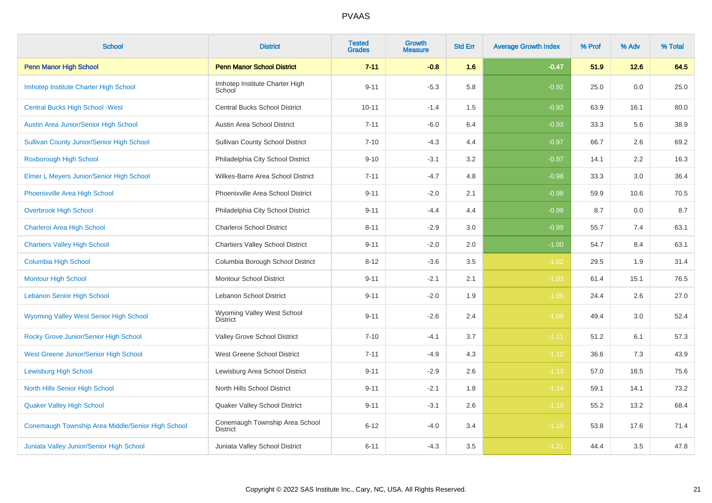| <b>School</b>                                     | <b>District</b>                                   | <b>Tested</b><br><b>Grades</b> | <b>Growth</b><br><b>Measure</b> | <b>Std Err</b> | <b>Average Growth Index</b> | % Prof | % Adv  | % Total |
|---------------------------------------------------|---------------------------------------------------|--------------------------------|---------------------------------|----------------|-----------------------------|--------|--------|---------|
| <b>Penn Manor High School</b>                     | <b>Penn Manor School District</b>                 | $7 - 11$                       | $-0.8$                          | 1.6            | $-0.47$                     | 51.9   | $12.6$ | 64.5    |
| Imhotep Institute Charter High School             | Imhotep Institute Charter High<br>School          | $9 - 11$                       | $-5.3$                          | 5.8            | $-0.92$                     | 25.0   | 0.0    | 25.0    |
| <b>Central Bucks High School - West</b>           | <b>Central Bucks School District</b>              | $10 - 11$                      | $-1.4$                          | 1.5            | $-0.93$                     | 63.9   | 16.1   | 80.0    |
| Austin Area Junior/Senior High School             | Austin Area School District                       | $7 - 11$                       | $-6.0$                          | 6.4            | $-0.93$                     | 33.3   | 5.6    | 38.9    |
| <b>Sullivan County Junior/Senior High School</b>  | <b>Sullivan County School District</b>            | $7 - 10$                       | $-4.3$                          | 4.4            | $-0.97$                     | 66.7   | 2.6    | 69.2    |
| Roxborough High School                            | Philadelphia City School District                 | $9 - 10$                       | $-3.1$                          | 3.2            | $-0.97$                     | 14.1   | 2.2    | 16.3    |
| Elmer L Meyers Junior/Senior High School          | Wilkes-Barre Area School District                 | $7 - 11$                       | $-4.7$                          | 4.8            | $-0.98$                     | 33.3   | 3.0    | 36.4    |
| <b>Phoenixville Area High School</b>              | Phoenixville Area School District                 | $9 - 11$                       | $-2.0$                          | 2.1            | $-0.98$                     | 59.9   | 10.6   | 70.5    |
| <b>Overbrook High School</b>                      | Philadelphia City School District                 | $9 - 11$                       | $-4.4$                          | 4.4            | $-0.99$                     | 8.7    | 0.0    | 8.7     |
| Charleroi Area High School                        | Charleroi School District                         | $8 - 11$                       | $-2.9$                          | 3.0            | $-0.99$                     | 55.7   | 7.4    | 63.1    |
| <b>Chartiers Valley High School</b>               | <b>Chartiers Valley School District</b>           | $9 - 11$                       | $-2.0$                          | 2.0            | $-1.00$                     | 54.7   | 8.4    | 63.1    |
| <b>Columbia High School</b>                       | Columbia Borough School District                  | $8 - 12$                       | $-3.6$                          | 3.5            | $-1.02$                     | 29.5   | 1.9    | 31.4    |
| <b>Montour High School</b>                        | <b>Montour School District</b>                    | $9 - 11$                       | $-2.1$                          | 2.1            | $-1.03$                     | 61.4   | 15.1   | 76.5    |
| <b>Lebanon Senior High School</b>                 | <b>Lebanon School District</b>                    | $9 - 11$                       | $-2.0$                          | 1.9            | $-1.06$                     | 24.4   | 2.6    | 27.0    |
| Wyoming Valley West Senior High School            | Wyoming Valley West School<br><b>District</b>     | $9 - 11$                       | $-2.6$                          | 2.4            | $-1.08$                     | 49.4   | 3.0    | 52.4    |
| Rocky Grove Junior/Senior High School             | Valley Grove School District                      | $7 - 10$                       | $-4.1$                          | 3.7            | $-1.11$                     | 51.2   | 6.1    | 57.3    |
| West Greene Junior/Senior High School             | West Greene School District                       | $7 - 11$                       | $-4.9$                          | 4.3            | $-1.12$                     | 36.6   | 7.3    | 43.9    |
| <b>Lewisburg High School</b>                      | Lewisburg Area School District                    | $9 - 11$                       | $-2.9$                          | 2.6            | $-1.13$                     | 57.0   | 18.5   | 75.6    |
| <b>North Hills Senior High School</b>             | North Hills School District                       | $9 - 11$                       | $-2.1$                          | 1.8            | $-1.14$                     | 59.1   | 14.1   | 73.2    |
| <b>Quaker Valley High School</b>                  | Quaker Valley School District                     | $9 - 11$                       | $-3.1$                          | 2.6            | $-1.19$                     | 55.2   | 13.2   | 68.4    |
| Conemaugh Township Area Middle/Senior High School | Conemaugh Township Area School<br><b>District</b> | $6 - 12$                       | $-4.0$                          | 3.4            | $-1.19$                     | 53.8   | 17.6   | 71.4    |
| Juniata Valley Junior/Senior High School          | Juniata Valley School District                    | $6 - 11$                       | $-4.3$                          | 3.5            | $-1.21$                     | 44.4   | 3.5    | 47.8    |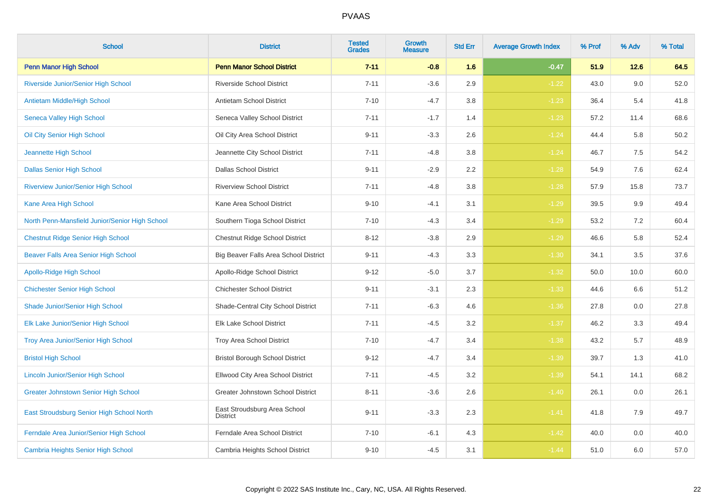| <b>School</b>                                  | <b>District</b>                                 | <b>Tested</b><br><b>Grades</b> | <b>Growth</b><br><b>Measure</b> | <b>Std Err</b> | <b>Average Growth Index</b> | % Prof | % Adv  | % Total |
|------------------------------------------------|-------------------------------------------------|--------------------------------|---------------------------------|----------------|-----------------------------|--------|--------|---------|
| <b>Penn Manor High School</b>                  | <b>Penn Manor School District</b>               | $7 - 11$                       | $-0.8$                          | 1.6            | $-0.47$                     | 51.9   | $12.6$ | 64.5    |
| Riverside Junior/Senior High School            | <b>Riverside School District</b>                | $7 - 11$                       | $-3.6$                          | 2.9            | $-1.22$                     | 43.0   | 9.0    | 52.0    |
| <b>Antietam Middle/High School</b>             | Antietam School District                        | $7 - 10$                       | $-4.7$                          | 3.8            | $-1.23$                     | 36.4   | 5.4    | 41.8    |
| Seneca Valley High School                      | Seneca Valley School District                   | $7 - 11$                       | $-1.7$                          | 1.4            | $-1.23$                     | 57.2   | 11.4   | 68.6    |
| Oil City Senior High School                    | Oil City Area School District                   | $9 - 11$                       | $-3.3$                          | 2.6            | $-1.24$                     | 44.4   | 5.8    | 50.2    |
| Jeannette High School                          | Jeannette City School District                  | $7 - 11$                       | $-4.8$                          | 3.8            | $-1.24$                     | 46.7   | 7.5    | 54.2    |
| <b>Dallas Senior High School</b>               | <b>Dallas School District</b>                   | $9 - 11$                       | $-2.9$                          | 2.2            | $-1.28$                     | 54.9   | 7.6    | 62.4    |
| <b>Riverview Junior/Senior High School</b>     | <b>Riverview School District</b>                | $7 - 11$                       | $-4.8$                          | 3.8            | $-1.28$                     | 57.9   | 15.8   | 73.7    |
| Kane Area High School                          | Kane Area School District                       | $9 - 10$                       | $-4.1$                          | 3.1            | $-1.29$                     | 39.5   | 9.9    | 49.4    |
| North Penn-Mansfield Junior/Senior High School | Southern Tioga School District                  | $7 - 10$                       | $-4.3$                          | 3.4            | $-1.29$                     | 53.2   | 7.2    | 60.4    |
| <b>Chestnut Ridge Senior High School</b>       | Chestnut Ridge School District                  | $8 - 12$                       | $-3.8$                          | 2.9            | $-1.29$                     | 46.6   | 5.8    | 52.4    |
| Beaver Falls Area Senior High School           | Big Beaver Falls Area School District           | $9 - 11$                       | $-4.3$                          | 3.3            | $-1.30$                     | 34.1   | 3.5    | 37.6    |
| <b>Apollo-Ridge High School</b>                | Apollo-Ridge School District                    | $9 - 12$                       | $-5.0$                          | 3.7            | $-1.32$                     | 50.0   | 10.0   | 60.0    |
| <b>Chichester Senior High School</b>           | <b>Chichester School District</b>               | $9 - 11$                       | $-3.1$                          | 2.3            | $-1.33$                     | 44.6   | 6.6    | 51.2    |
| Shade Junior/Senior High School                | Shade-Central City School District              | $7 - 11$                       | $-6.3$                          | 4.6            | $-1.36$                     | 27.8   | 0.0    | 27.8    |
| Elk Lake Junior/Senior High School             | Elk Lake School District                        | $7 - 11$                       | $-4.5$                          | 3.2            | $-1.37$                     | 46.2   | 3.3    | 49.4    |
| Troy Area Junior/Senior High School            | Troy Area School District                       | $7 - 10$                       | $-4.7$                          | 3.4            | $-1.38$                     | 43.2   | 5.7    | 48.9    |
| <b>Bristol High School</b>                     | <b>Bristol Borough School District</b>          | $9 - 12$                       | $-4.7$                          | 3.4            | $-1.39$                     | 39.7   | 1.3    | 41.0    |
| <b>Lincoln Junior/Senior High School</b>       | Ellwood City Area School District               | $7 - 11$                       | $-4.5$                          | 3.2            | $-1.39$                     | 54.1   | 14.1   | 68.2    |
| <b>Greater Johnstown Senior High School</b>    | Greater Johnstown School District               | $8 - 11$                       | $-3.6$                          | 2.6            | $-1.40$                     | 26.1   | 0.0    | 26.1    |
| East Stroudsburg Senior High School North      | East Stroudsburg Area School<br><b>District</b> | $9 - 11$                       | $-3.3$                          | 2.3            | $-1.41$                     | 41.8   | 7.9    | 49.7    |
| Ferndale Area Junior/Senior High School        | Ferndale Area School District                   | $7 - 10$                       | $-6.1$                          | 4.3            | $-1.42$                     | 40.0   | 0.0    | 40.0    |
| <b>Cambria Heights Senior High School</b>      | Cambria Heights School District                 | $9 - 10$                       | $-4.5$                          | 3.1            | $-1.44$                     | 51.0   | 6.0    | 57.0    |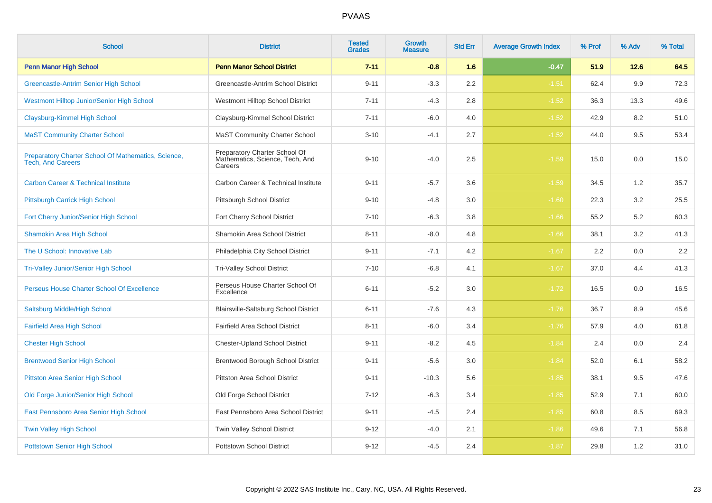| <b>School</b>                                                                   | <b>District</b>                                                             | <b>Tested</b><br><b>Grades</b> | <b>Growth</b><br><b>Measure</b> | <b>Std Err</b> | <b>Average Growth Index</b> | % Prof | % Adv | % Total |
|---------------------------------------------------------------------------------|-----------------------------------------------------------------------------|--------------------------------|---------------------------------|----------------|-----------------------------|--------|-------|---------|
| <b>Penn Manor High School</b>                                                   | <b>Penn Manor School District</b>                                           | $7 - 11$                       | $-0.8$                          | 1.6            | $-0.47$                     | 51.9   | 12.6  | 64.5    |
| Greencastle-Antrim Senior High School                                           | Greencastle-Antrim School District                                          | $9 - 11$                       | $-3.3$                          | 2.2            | $-1.51$                     | 62.4   | 9.9   | 72.3    |
| <b>Westmont Hilltop Junior/Senior High School</b>                               | Westmont Hilltop School District                                            | $7 - 11$                       | $-4.3$                          | 2.8            | $-1.52$                     | 36.3   | 13.3  | 49.6    |
| <b>Claysburg-Kimmel High School</b>                                             | Claysburg-Kimmel School District                                            | $7 - 11$                       | $-6.0$                          | 4.0            | $-1.52$                     | 42.9   | 8.2   | 51.0    |
| <b>MaST Community Charter School</b>                                            | <b>MaST Community Charter School</b>                                        | $3 - 10$                       | $-4.1$                          | 2.7            | $-1.52$                     | 44.0   | 9.5   | 53.4    |
| Preparatory Charter School Of Mathematics, Science,<br><b>Tech, And Careers</b> | Preparatory Charter School Of<br>Mathematics, Science, Tech, And<br>Careers | $9 - 10$                       | $-4.0$                          | 2.5            | $-1.59$                     | 15.0   | 0.0   | 15.0    |
| <b>Carbon Career &amp; Technical Institute</b>                                  | Carbon Career & Technical Institute                                         | $9 - 11$                       | $-5.7$                          | 3.6            | $-1.59$                     | 34.5   | 1.2   | 35.7    |
| Pittsburgh Carrick High School                                                  | Pittsburgh School District                                                  | $9 - 10$                       | $-4.8$                          | 3.0            | $-1.60$                     | 22.3   | 3.2   | 25.5    |
| Fort Cherry Junior/Senior High School                                           | Fort Cherry School District                                                 | $7 - 10$                       | $-6.3$                          | 3.8            | $-1.66$                     | 55.2   | 5.2   | 60.3    |
| <b>Shamokin Area High School</b>                                                | Shamokin Area School District                                               | $8 - 11$                       | $-8.0$                          | 4.8            | $-1.66$                     | 38.1   | 3.2   | 41.3    |
| The U School: Innovative Lab                                                    | Philadelphia City School District                                           | $9 - 11$                       | $-7.1$                          | 4.2            | $-1.67$                     | 2.2    | 0.0   | 2.2     |
| <b>Tri-Valley Junior/Senior High School</b>                                     | Tri-Valley School District                                                  | $7 - 10$                       | $-6.8$                          | 4.1            | $-1.67$                     | 37.0   | 4.4   | 41.3    |
| Perseus House Charter School Of Excellence                                      | Perseus House Charter School Of<br>Excellence                               | $6 - 11$                       | $-5.2$                          | 3.0            | $-1.72$                     | 16.5   | 0.0   | 16.5    |
| Saltsburg Middle/High School                                                    | Blairsville-Saltsburg School District                                       | $6 - 11$                       | $-7.6$                          | 4.3            | $-1.76$                     | 36.7   | 8.9   | 45.6    |
| <b>Fairfield Area High School</b>                                               | Fairfield Area School District                                              | $8 - 11$                       | $-6.0$                          | 3.4            | $-1.76$                     | 57.9   | 4.0   | 61.8    |
| <b>Chester High School</b>                                                      | <b>Chester-Upland School District</b>                                       | $9 - 11$                       | $-8.2$                          | 4.5            | $-1.84$                     | 2.4    | 0.0   | 2.4     |
| <b>Brentwood Senior High School</b>                                             | <b>Brentwood Borough School District</b>                                    | $9 - 11$                       | $-5.6$                          | 3.0            | $-1.84$                     | 52.0   | 6.1   | 58.2    |
| <b>Pittston Area Senior High School</b>                                         | <b>Pittston Area School District</b>                                        | $9 - 11$                       | $-10.3$                         | 5.6            | $-1.85$                     | 38.1   | 9.5   | 47.6    |
| Old Forge Junior/Senior High School                                             | Old Forge School District                                                   | $7 - 12$                       | $-6.3$                          | 3.4            | $-1.85$                     | 52.9   | 7.1   | 60.0    |
| East Pennsboro Area Senior High School                                          | East Pennsboro Area School District                                         | $9 - 11$                       | $-4.5$                          | 2.4            | $-1.85$                     | 60.8   | 8.5   | 69.3    |
| <b>Twin Valley High School</b>                                                  | Twin Valley School District                                                 | $9 - 12$                       | $-4.0$                          | 2.1            | $-1.86$                     | 49.6   | 7.1   | 56.8    |
| <b>Pottstown Senior High School</b>                                             | <b>Pottstown School District</b>                                            | $9 - 12$                       | $-4.5$                          | 2.4            | $-1.87$                     | 29.8   | 1.2   | 31.0    |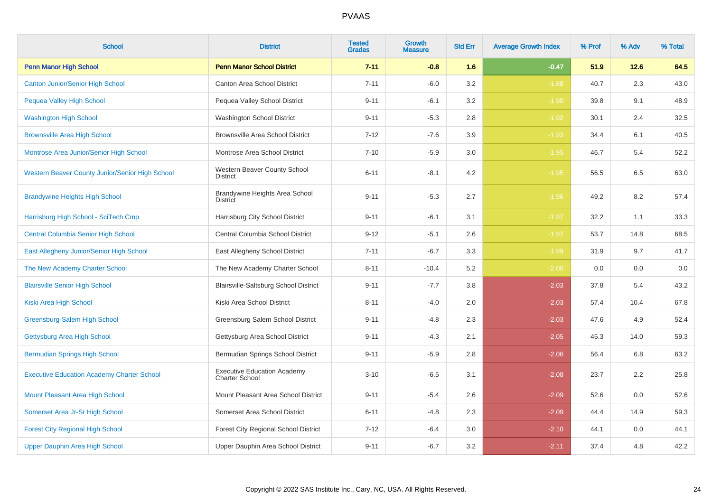| <b>School</b>                                     | <b>District</b>                                             | <b>Tested</b><br><b>Grades</b> | <b>Growth</b><br><b>Measure</b> | <b>Std Err</b> | <b>Average Growth Index</b> | % Prof | % Adv | % Total |
|---------------------------------------------------|-------------------------------------------------------------|--------------------------------|---------------------------------|----------------|-----------------------------|--------|-------|---------|
| <b>Penn Manor High School</b>                     | <b>Penn Manor School District</b>                           | $7 - 11$                       | $-0.8$                          | 1.6            | $-0.47$                     | 51.9   | 12.6  | 64.5    |
| <b>Canton Junior/Senior High School</b>           | Canton Area School District                                 | $7 - 11$                       | $-6.0$                          | 3.2            | $-1.88$                     | 40.7   | 2.3   | 43.0    |
| <b>Pequea Valley High School</b>                  | Pequea Valley School District                               | $9 - 11$                       | $-6.1$                          | 3.2            | $-1.90$                     | 39.8   | 9.1   | 48.9    |
| <b>Washington High School</b>                     | Washington School District                                  | $9 - 11$                       | $-5.3$                          | 2.8            | $-1.92$                     | 30.1   | 2.4   | 32.5    |
| <b>Brownsville Area High School</b>               | <b>Brownsville Area School District</b>                     | $7 - 12$                       | $-7.6$                          | 3.9            | $-1.93$                     | 34.4   | 6.1   | 40.5    |
| Montrose Area Junior/Senior High School           | Montrose Area School District                               | $7 - 10$                       | $-5.9$                          | 3.0            | $-1.95$                     | 46.7   | 5.4   | 52.2    |
| Western Beaver County Junior/Senior High School   | Western Beaver County School<br><b>District</b>             | $6 - 11$                       | $-8.1$                          | 4.2            | $-1.95$                     | 56.5   | 6.5   | 63.0    |
| <b>Brandywine Heights High School</b>             | Brandywine Heights Area School<br><b>District</b>           | $9 - 11$                       | $-5.3$                          | 2.7            | $-1.96$                     | 49.2   | 8.2   | 57.4    |
| Harrisburg High School - SciTech Cmp              | Harrisburg City School District                             | $9 - 11$                       | $-6.1$                          | 3.1            | $-1.97$                     | 32.2   | 1.1   | 33.3    |
| <b>Central Columbia Senior High School</b>        | Central Columbia School District                            | $9 - 12$                       | $-5.1$                          | 2.6            | $-1.97$                     | 53.7   | 14.8  | 68.5    |
| East Allegheny Junior/Senior High School          | East Allegheny School District                              | $7 - 11$                       | $-6.7$                          | 3.3            | $-1.99$                     | 31.9   | 9.7   | 41.7    |
| The New Academy Charter School                    | The New Academy Charter School                              | $8 - 11$                       | $-10.4$                         | 5.2            | $-2.00$                     | 0.0    | 0.0   | 0.0     |
| <b>Blairsville Senior High School</b>             | Blairsville-Saltsburg School District                       | $9 - 11$                       | $-7.7$                          | 3.8            | $-2.03$                     | 37.8   | 5.4   | 43.2    |
| Kiski Area High School                            | Kiski Area School District                                  | $8 - 11$                       | $-4.0$                          | 2.0            | $-2.03$                     | 57.4   | 10.4  | 67.8    |
| Greensburg-Salem High School                      | Greensburg Salem School District                            | $9 - 11$                       | $-4.8$                          | 2.3            | $-2.03$                     | 47.6   | 4.9   | 52.4    |
| Gettysburg Area High School                       | Gettysburg Area School District                             | $9 - 11$                       | $-4.3$                          | 2.1            | $-2.05$                     | 45.3   | 14.0  | 59.3    |
| <b>Bermudian Springs High School</b>              | Bermudian Springs School District                           | $9 - 11$                       | $-5.9$                          | 2.8            | $-2.06$                     | 56.4   | 6.8   | 63.2    |
| <b>Executive Education Academy Charter School</b> | <b>Executive Education Academy</b><br><b>Charter School</b> | $3 - 10$                       | $-6.5$                          | 3.1            | $-2.08$                     | 23.7   | 2.2   | 25.8    |
| Mount Pleasant Area High School                   | Mount Pleasant Area School District                         | $9 - 11$                       | $-5.4$                          | 2.6            | $-2.09$                     | 52.6   | 0.0   | 52.6    |
| Somerset Area Jr-Sr High School                   | Somerset Area School District                               | $6 - 11$                       | $-4.8$                          | 2.3            | $-2.09$                     | 44.4   | 14.9  | 59.3    |
| <b>Forest City Regional High School</b>           | Forest City Regional School District                        | $7 - 12$                       | $-6.4$                          | 3.0            | $-2.10$                     | 44.1   | 0.0   | 44.1    |
| Upper Dauphin Area High School                    | Upper Dauphin Area School District                          | $9 - 11$                       | $-6.7$                          | 3.2            | $-2.11$                     | 37.4   | 4.8   | 42.2    |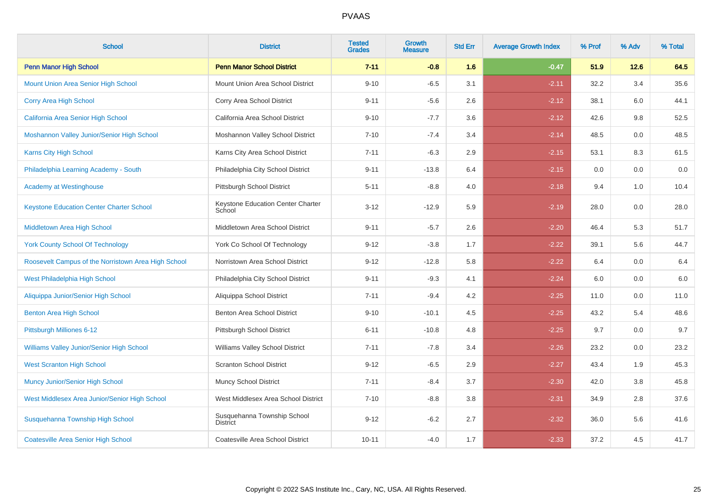| <b>School</b>                                       | <b>District</b>                                | <b>Tested</b><br><b>Grades</b> | <b>Growth</b><br><b>Measure</b> | <b>Std Err</b> | <b>Average Growth Index</b> | % Prof | % Adv | % Total |
|-----------------------------------------------------|------------------------------------------------|--------------------------------|---------------------------------|----------------|-----------------------------|--------|-------|---------|
| <b>Penn Manor High School</b>                       | <b>Penn Manor School District</b>              | $7 - 11$                       | $-0.8$                          | 1.6            | $-0.47$                     | 51.9   | 12.6  | 64.5    |
| <b>Mount Union Area Senior High School</b>          | Mount Union Area School District               | $9 - 10$                       | $-6.5$                          | 3.1            | $-2.11$                     | 32.2   | 3.4   | 35.6    |
| Corry Area High School                              | Corry Area School District                     | $9 - 11$                       | $-5.6$                          | 2.6            | $-2.12$                     | 38.1   | 6.0   | 44.1    |
| California Area Senior High School                  | California Area School District                | $9 - 10$                       | $-7.7$                          | 3.6            | $-2.12$                     | 42.6   | 9.8   | 52.5    |
| Moshannon Valley Junior/Senior High School          | Moshannon Valley School District               | $7 - 10$                       | $-7.4$                          | 3.4            | $-2.14$                     | 48.5   | 0.0   | 48.5    |
| Karns City High School                              | Karns City Area School District                | $7 - 11$                       | $-6.3$                          | 2.9            | $-2.15$                     | 53.1   | 8.3   | 61.5    |
| Philadelphia Learning Academy - South               | Philadelphia City School District              | $9 - 11$                       | $-13.8$                         | 6.4            | $-2.15$                     | 0.0    | 0.0   | $0.0\,$ |
| <b>Academy at Westinghouse</b>                      | Pittsburgh School District                     | $5 - 11$                       | $-8.8$                          | 4.0            | $-2.18$                     | 9.4    | 1.0   | 10.4    |
| <b>Keystone Education Center Charter School</b>     | Keystone Education Center Charter<br>School    | $3 - 12$                       | $-12.9$                         | 5.9            | $-2.19$                     | 28.0   | 0.0   | 28.0    |
| Middletown Area High School                         | Middletown Area School District                | $9 - 11$                       | $-5.7$                          | 2.6            | $-2.20$                     | 46.4   | 5.3   | 51.7    |
| <b>York County School Of Technology</b>             | York Co School Of Technology                   | $9 - 12$                       | $-3.8$                          | 1.7            | $-2.22$                     | 39.1   | 5.6   | 44.7    |
| Roosevelt Campus of the Norristown Area High School | Norristown Area School District                | $9 - 12$                       | $-12.8$                         | 5.8            | $-2.22$                     | 6.4    | 0.0   | $6.4\,$ |
| West Philadelphia High School                       | Philadelphia City School District              | $9 - 11$                       | $-9.3$                          | 4.1            | $-2.24$                     | 6.0    | 0.0   | $6.0\,$ |
| Aliquippa Junior/Senior High School                 | Aliquippa School District                      | $7 - 11$                       | $-9.4$                          | 4.2            | $-2.25$                     | 11.0   | 0.0   | 11.0    |
| <b>Benton Area High School</b>                      | Benton Area School District                    | $9 - 10$                       | $-10.1$                         | 4.5            | $-2.25$                     | 43.2   | 5.4   | 48.6    |
| Pittsburgh Milliones 6-12                           | Pittsburgh School District                     | $6 - 11$                       | $-10.8$                         | 4.8            | $-2.25$                     | 9.7    | 0.0   | 9.7     |
| Williams Valley Junior/Senior High School           | Williams Valley School District                | $7 - 11$                       | $-7.8$                          | 3.4            | $-2.26$                     | 23.2   | 0.0   | 23.2    |
| <b>West Scranton High School</b>                    | <b>Scranton School District</b>                | $9 - 12$                       | $-6.5$                          | 2.9            | $-2.27$                     | 43.4   | 1.9   | 45.3    |
| <b>Muncy Junior/Senior High School</b>              | <b>Muncy School District</b>                   | $7 - 11$                       | $-8.4$                          | 3.7            | $-2.30$                     | 42.0   | 3.8   | 45.8    |
| West Middlesex Area Junior/Senior High School       | West Middlesex Area School District            | $7 - 10$                       | $-8.8$                          | 3.8            | $-2.31$                     | 34.9   | 2.8   | 37.6    |
| Susquehanna Township High School                    | Susquehanna Township School<br><b>District</b> | $9 - 12$                       | $-6.2$                          | 2.7            | $-2.32$                     | 36.0   | 5.6   | 41.6    |
| <b>Coatesville Area Senior High School</b>          | Coatesville Area School District               | $10 - 11$                      | $-4.0$                          | 1.7            | $-2.33$                     | 37.2   | 4.5   | 41.7    |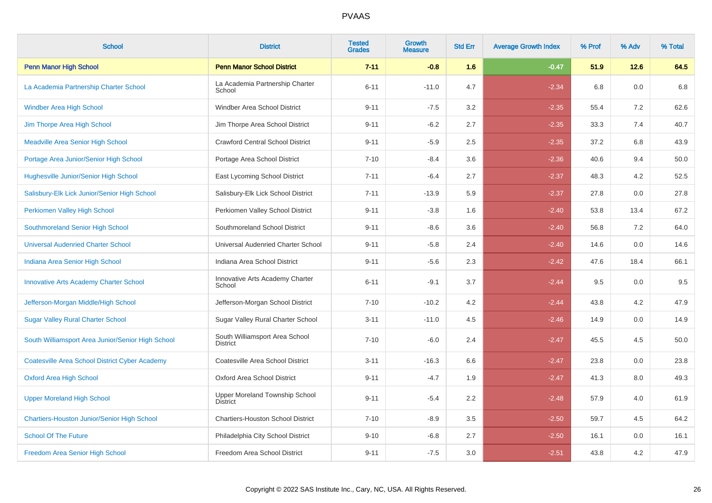| <b>School</b>                                         | <b>District</b>                                   | <b>Tested</b><br><b>Grades</b> | <b>Growth</b><br><b>Measure</b> | <b>Std Err</b> | <b>Average Growth Index</b> | % Prof | % Adv | % Total |
|-------------------------------------------------------|---------------------------------------------------|--------------------------------|---------------------------------|----------------|-----------------------------|--------|-------|---------|
| Penn Manor High School                                | <b>Penn Manor School District</b>                 | $7 - 11$                       | $-0.8$                          | 1.6            | $-0.47$                     | 51.9   | 12.6  | 64.5    |
| La Academia Partnership Charter School                | La Academia Partnership Charter<br>School         | $6 - 11$                       | $-11.0$                         | 4.7            | $-2.34$                     | 6.8    | 0.0   | 6.8     |
| <b>Windber Area High School</b>                       | Windber Area School District                      | $9 - 11$                       | $-7.5$                          | 3.2            | $-2.35$                     | 55.4   | 7.2   | 62.6    |
| Jim Thorpe Area High School                           | Jim Thorpe Area School District                   | $9 - 11$                       | $-6.2$                          | 2.7            | $-2.35$                     | 33.3   | 7.4   | 40.7    |
| <b>Meadville Area Senior High School</b>              | <b>Crawford Central School District</b>           | $9 - 11$                       | $-5.9$                          | 2.5            | $-2.35$                     | 37.2   | 6.8   | 43.9    |
| Portage Area Junior/Senior High School                | Portage Area School District                      | $7 - 10$                       | $-8.4$                          | 3.6            | $-2.36$                     | 40.6   | 9.4   | 50.0    |
| <b>Hughesville Junior/Senior High School</b>          | East Lycoming School District                     | $7 - 11$                       | $-6.4$                          | 2.7            | $-2.37$                     | 48.3   | 4.2   | 52.5    |
| Salisbury-Elk Lick Junior/Senior High School          | Salisbury-Elk Lick School District                | $7 - 11$                       | $-13.9$                         | 5.9            | $-2.37$                     | 27.8   | 0.0   | 27.8    |
| Perkiomen Valley High School                          | Perkiomen Valley School District                  | $9 - 11$                       | $-3.8$                          | 1.6            | $-2.40$                     | 53.8   | 13.4  | 67.2    |
| Southmoreland Senior High School                      | Southmoreland School District                     | $9 - 11$                       | $-8.6$                          | 3.6            | $-2.40$                     | 56.8   | 7.2   | 64.0    |
| <b>Universal Audenried Charter School</b>             | Universal Audenried Charter School                | $9 - 11$                       | $-5.8$                          | 2.4            | $-2.40$                     | 14.6   | 0.0   | 14.6    |
| Indiana Area Senior High School                       | Indiana Area School District                      | $9 - 11$                       | $-5.6$                          | 2.3            | $-2.42$                     | 47.6   | 18.4  | 66.1    |
| <b>Innovative Arts Academy Charter School</b>         | Innovative Arts Academy Charter<br>School         | $6 - 11$                       | $-9.1$                          | 3.7            | $-2.44$                     | 9.5    | 0.0   | 9.5     |
| Jefferson-Morgan Middle/High School                   | Jefferson-Morgan School District                  | $7 - 10$                       | $-10.2$                         | 4.2            | $-2.44$                     | 43.8   | 4.2   | 47.9    |
| <b>Sugar Valley Rural Charter School</b>              | Sugar Valley Rural Charter School                 | $3 - 11$                       | $-11.0$                         | 4.5            | $-2.46$                     | 14.9   | 0.0   | 14.9    |
| South Williamsport Area Junior/Senior High School     | South Williamsport Area School<br><b>District</b> | $7 - 10$                       | $-6.0$                          | 2.4            | $-2.47$                     | 45.5   | 4.5   | 50.0    |
| <b>Coatesville Area School District Cyber Academy</b> | Coatesville Area School District                  | $3 - 11$                       | $-16.3$                         | 6.6            | $-2.47$                     | 23.8   | 0.0   | 23.8    |
| <b>Oxford Area High School</b>                        | Oxford Area School District                       | $9 - 11$                       | $-4.7$                          | 1.9            | $-2.47$                     | 41.3   | 8.0   | 49.3    |
| <b>Upper Moreland High School</b>                     | Upper Moreland Township School<br>District        | $9 - 11$                       | $-5.4$                          | 2.2            | $-2.48$                     | 57.9   | 4.0   | 61.9    |
| <b>Chartiers-Houston Junior/Senior High School</b>    | <b>Chartiers-Houston School District</b>          | $7 - 10$                       | $-8.9$                          | 3.5            | $-2.50$                     | 59.7   | 4.5   | 64.2    |
| <b>School Of The Future</b>                           | Philadelphia City School District                 | $9 - 10$                       | $-6.8$                          | 2.7            | $-2.50$                     | 16.1   | 0.0   | 16.1    |
| Freedom Area Senior High School                       | Freedom Area School District                      | $9 - 11$                       | $-7.5$                          | 3.0            | $-2.51$                     | 43.8   | 4.2   | 47.9    |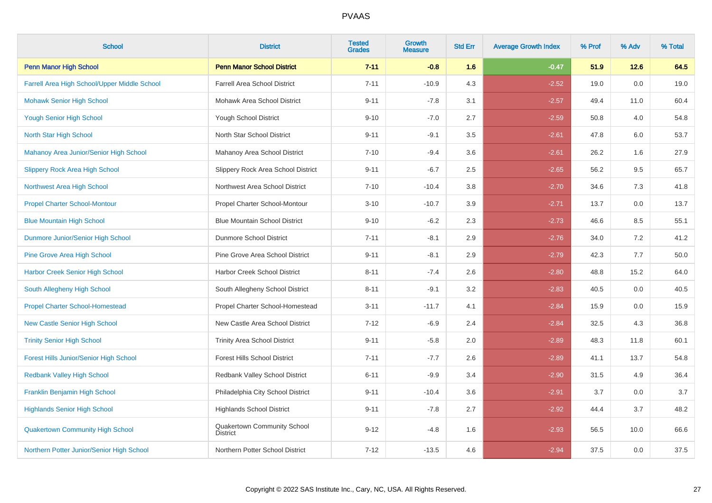| <b>School</b>                                 | <b>District</b>                                | <b>Tested</b><br><b>Grades</b> | Growth<br><b>Measure</b> | <b>Std Err</b> | <b>Average Growth Index</b> | % Prof | % Adv | % Total |
|-----------------------------------------------|------------------------------------------------|--------------------------------|--------------------------|----------------|-----------------------------|--------|-------|---------|
| <b>Penn Manor High School</b>                 | <b>Penn Manor School District</b>              | $7 - 11$                       | $-0.8$                   | 1.6            | $-0.47$                     | 51.9   | 12.6  | 64.5    |
| Farrell Area High School/Upper Middle School  | <b>Farrell Area School District</b>            | $7 - 11$                       | $-10.9$                  | 4.3            | $-2.52$                     | 19.0   | 0.0   | 19.0    |
| <b>Mohawk Senior High School</b>              | Mohawk Area School District                    | $9 - 11$                       | $-7.8$                   | 3.1            | $-2.57$                     | 49.4   | 11.0  | 60.4    |
| <b>Yough Senior High School</b>               | <b>Yough School District</b>                   | $9 - 10$                       | $-7.0$                   | 2.7            | $-2.59$                     | 50.8   | 4.0   | 54.8    |
| North Star High School                        | North Star School District                     | $9 - 11$                       | $-9.1$                   | 3.5            | $-2.61$                     | 47.8   | 6.0   | 53.7    |
| Mahanoy Area Junior/Senior High School        | Mahanoy Area School District                   | $7 - 10$                       | $-9.4$                   | 3.6            | $-2.61$                     | 26.2   | 1.6   | 27.9    |
| <b>Slippery Rock Area High School</b>         | Slippery Rock Area School District             | $9 - 11$                       | $-6.7$                   | 2.5            | $-2.65$                     | 56.2   | 9.5   | 65.7    |
| Northwest Area High School                    | Northwest Area School District                 | $7 - 10$                       | $-10.4$                  | 3.8            | $-2.70$                     | 34.6   | 7.3   | 41.8    |
| <b>Propel Charter School-Montour</b>          | Propel Charter School-Montour                  | $3 - 10$                       | $-10.7$                  | 3.9            | $-2.71$                     | 13.7   | 0.0   | 13.7    |
| <b>Blue Mountain High School</b>              | <b>Blue Mountain School District</b>           | $9 - 10$                       | $-6.2$                   | 2.3            | $-2.73$                     | 46.6   | 8.5   | 55.1    |
| Dunmore Junior/Senior High School             | Dunmore School District                        | $7 - 11$                       | $-8.1$                   | 2.9            | $-2.76$                     | 34.0   | 7.2   | 41.2    |
| <b>Pine Grove Area High School</b>            | Pine Grove Area School District                | $9 - 11$                       | $-8.1$                   | 2.9            | $-2.79$                     | 42.3   | 7.7   | 50.0    |
| <b>Harbor Creek Senior High School</b>        | Harbor Creek School District                   | $8 - 11$                       | $-7.4$                   | 2.6            | $-2.80$                     | 48.8   | 15.2  | 64.0    |
| South Allegheny High School                   | South Allegheny School District                | $8 - 11$                       | $-9.1$                   | 3.2            | $-2.83$                     | 40.5   | 0.0   | 40.5    |
| <b>Propel Charter School-Homestead</b>        | Propel Charter School-Homestead                | $3 - 11$                       | $-11.7$                  | 4.1            | $-2.84$                     | 15.9   | 0.0   | 15.9    |
| <b>New Castle Senior High School</b>          | New Castle Area School District                | $7 - 12$                       | $-6.9$                   | 2.4            | $-2.84$                     | 32.5   | 4.3   | 36.8    |
| <b>Trinity Senior High School</b>             | <b>Trinity Area School District</b>            | $9 - 11$                       | $-5.8$                   | $2.0\,$        | $-2.89$                     | 48.3   | 11.8  | 60.1    |
| <b>Forest Hills Junior/Senior High School</b> | Forest Hills School District                   | $7 - 11$                       | $-7.7$                   | 2.6            | $-2.89$                     | 41.1   | 13.7  | 54.8    |
| <b>Redbank Valley High School</b>             | Redbank Valley School District                 | $6 - 11$                       | $-9.9$                   | 3.4            | $-2.90$                     | 31.5   | 4.9   | 36.4    |
| <b>Franklin Benjamin High School</b>          | Philadelphia City School District              | $9 - 11$                       | $-10.4$                  | 3.6            | $-2.91$                     | 3.7    | 0.0   | 3.7     |
| <b>Highlands Senior High School</b>           | <b>Highlands School District</b>               | $9 - 11$                       | $-7.8$                   | 2.7            | $-2.92$                     | 44.4   | 3.7   | 48.2    |
| <b>Quakertown Community High School</b>       | Quakertown Community School<br><b>District</b> | $9 - 12$                       | $-4.8$                   | 1.6            | $-2.93$                     | 56.5   | 10.0  | 66.6    |
| Northern Potter Junior/Senior High School     | Northern Potter School District                | $7 - 12$                       | $-13.5$                  | 4.6            | $-2.94$                     | 37.5   | 0.0   | 37.5    |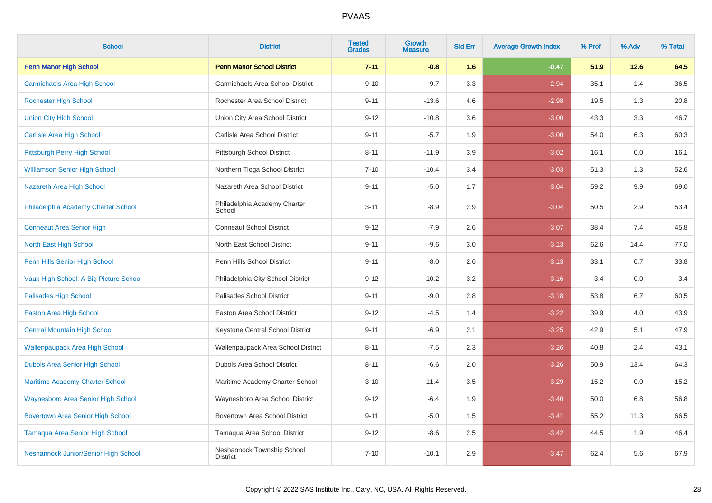| <b>School</b>                            | <b>District</b>                               | <b>Tested</b><br><b>Grades</b> | <b>Growth</b><br><b>Measure</b> | <b>Std Err</b> | <b>Average Growth Index</b> | % Prof | % Adv | % Total |
|------------------------------------------|-----------------------------------------------|--------------------------------|---------------------------------|----------------|-----------------------------|--------|-------|---------|
| <b>Penn Manor High School</b>            | <b>Penn Manor School District</b>             | $7 - 11$                       | $-0.8$                          | 1.6            | $-0.47$                     | 51.9   | 12.6  | 64.5    |
| <b>Carmichaels Area High School</b>      | Carmichaels Area School District              | $9 - 10$                       | $-9.7$                          | 3.3            | $-2.94$                     | 35.1   | 1.4   | 36.5    |
| <b>Rochester High School</b>             | Rochester Area School District                | $9 - 11$                       | $-13.6$                         | 4.6            | $-2.98$                     | 19.5   | 1.3   | 20.8    |
| <b>Union City High School</b>            | Union City Area School District               | $9 - 12$                       | $-10.8$                         | 3.6            | $-3.00$                     | 43.3   | 3.3   | 46.7    |
| <b>Carlisle Area High School</b>         | Carlisle Area School District                 | $9 - 11$                       | $-5.7$                          | 1.9            | $-3.00$                     | 54.0   | 6.3   | 60.3    |
| Pittsburgh Perry High School             | Pittsburgh School District                    | $8 - 11$                       | $-11.9$                         | 3.9            | $-3.02$                     | 16.1   | 0.0   | 16.1    |
| <b>Williamson Senior High School</b>     | Northern Tioga School District                | $7 - 10$                       | $-10.4$                         | 3.4            | $-3.03$                     | 51.3   | 1.3   | 52.6    |
| Nazareth Area High School                | Nazareth Area School District                 | $9 - 11$                       | $-5.0$                          | 1.7            | $-3.04$                     | 59.2   | 9.9   | 69.0    |
| Philadelphia Academy Charter School      | Philadelphia Academy Charter<br>School        | $3 - 11$                       | $-8.9$                          | 2.9            | $-3.04$                     | 50.5   | 2.9   | 53.4    |
| <b>Conneaut Area Senior High</b>         | <b>Conneaut School District</b>               | $9 - 12$                       | $-7.9$                          | 2.6            | $-3.07$                     | 38.4   | 7.4   | 45.8    |
| North East High School                   | North East School District                    | $9 - 11$                       | $-9.6$                          | 3.0            | $-3.13$                     | 62.6   | 14.4  | 77.0    |
| Penn Hills Senior High School            | Penn Hills School District                    | $9 - 11$                       | $-8.0$                          | 2.6            | $-3.13$                     | 33.1   | 0.7   | 33.8    |
| Vaux High School: A Big Picture School   | Philadelphia City School District             | $9 - 12$                       | $-10.2$                         | 3.2            | $-3.16$                     | 3.4    | 0.0   | 3.4     |
| <b>Palisades High School</b>             | Palisades School District                     | $9 - 11$                       | $-9.0$                          | 2.8            | $-3.18$                     | 53.8   | 6.7   | 60.5    |
| <b>Easton Area High School</b>           | Easton Area School District                   | $9 - 12$                       | $-4.5$                          | 1.4            | $-3.22$                     | 39.9   | 4.0   | 43.9    |
| <b>Central Mountain High School</b>      | Keystone Central School District              | $9 - 11$                       | $-6.9$                          | 2.1            | $-3.25$                     | 42.9   | 5.1   | 47.9    |
| <b>Wallenpaupack Area High School</b>    | Wallenpaupack Area School District            | $8 - 11$                       | $-7.5$                          | $2.3\,$        | $-3.26$                     | 40.8   | 2.4   | 43.1    |
| Dubois Area Senior High School           | Dubois Area School District                   | $8 - 11$                       | $-6.6$                          | 2.0            | $-3.26$                     | 50.9   | 13.4  | 64.3    |
| <b>Maritime Academy Charter School</b>   | Maritime Academy Charter School               | $3 - 10$                       | $-11.4$                         | 3.5            | $-3.29$                     | 15.2   | 0.0   | 15.2    |
| Waynesboro Area Senior High School       | Waynesboro Area School District               | $9 - 12$                       | $-6.4$                          | 1.9            | $-3.40$                     | 50.0   | 6.8   | 56.8    |
| <b>Boyertown Area Senior High School</b> | Boyertown Area School District                | $9 - 11$                       | $-5.0$                          | 1.5            | $-3.41$                     | 55.2   | 11.3  | 66.5    |
| <b>Tamaqua Area Senior High School</b>   | Tamaqua Area School District                  | $9 - 12$                       | $-8.6$                          | 2.5            | $-3.42$                     | 44.5   | 1.9   | 46.4    |
| Neshannock Junior/Senior High School     | Neshannock Township School<br><b>District</b> | $7 - 10$                       | $-10.1$                         | 2.9            | $-3.47$                     | 62.4   | 5.6   | 67.9    |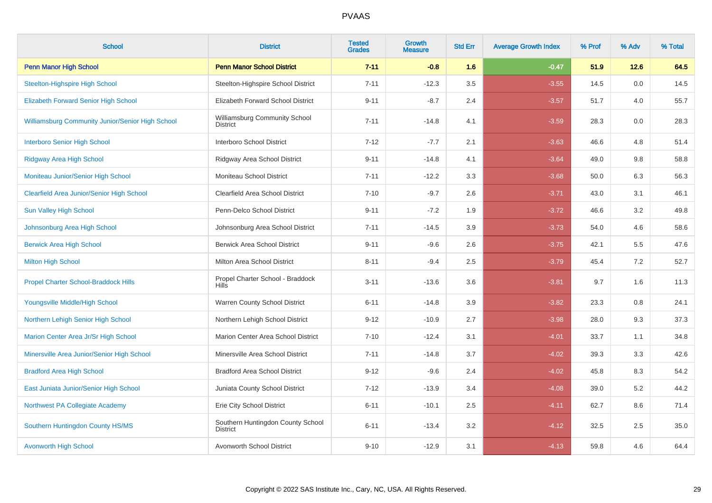| <b>School</b>                                           | <b>District</b>                                      | <b>Tested</b><br><b>Grades</b> | <b>Growth</b><br><b>Measure</b> | <b>Std Err</b> | <b>Average Growth Index</b> | % Prof | % Adv | % Total |
|---------------------------------------------------------|------------------------------------------------------|--------------------------------|---------------------------------|----------------|-----------------------------|--------|-------|---------|
| <b>Penn Manor High School</b>                           | <b>Penn Manor School District</b>                    | $7 - 11$                       | $-0.8$                          | 1.6            | $-0.47$                     | 51.9   | 12.6  | 64.5    |
| <b>Steelton-Highspire High School</b>                   | Steelton-Highspire School District                   | $7 - 11$                       | $-12.3$                         | 3.5            | $-3.55$                     | 14.5   | 0.0   | 14.5    |
| <b>Elizabeth Forward Senior High School</b>             | Elizabeth Forward School District                    | $9 - 11$                       | $-8.7$                          | 2.4            | $-3.57$                     | 51.7   | 4.0   | 55.7    |
| <b>Williamsburg Community Junior/Senior High School</b> | Williamsburg Community School<br><b>District</b>     | $7 - 11$                       | $-14.8$                         | 4.1            | $-3.59$                     | 28.3   | 0.0   | 28.3    |
| <b>Interboro Senior High School</b>                     | Interboro School District                            | $7 - 12$                       | $-7.7$                          | 2.1            | $-3.63$                     | 46.6   | 4.8   | 51.4    |
| <b>Ridgway Area High School</b>                         | Ridgway Area School District                         | $9 - 11$                       | $-14.8$                         | 4.1            | $-3.64$                     | 49.0   | 9.8   | 58.8    |
| Moniteau Junior/Senior High School                      | Moniteau School District                             | $7 - 11$                       | $-12.2$                         | 3.3            | $-3.68$                     | 50.0   | 6.3   | 56.3    |
| <b>Clearfield Area Junior/Senior High School</b>        | Clearfield Area School District                      | $7 - 10$                       | $-9.7$                          | 2.6            | $-3.71$                     | 43.0   | 3.1   | 46.1    |
| <b>Sun Valley High School</b>                           | Penn-Delco School District                           | $9 - 11$                       | $-7.2$                          | 1.9            | $-3.72$                     | 46.6   | 3.2   | 49.8    |
| Johnsonburg Area High School                            | Johnsonburg Area School District                     | $7 - 11$                       | $-14.5$                         | 3.9            | $-3.73$                     | 54.0   | 4.6   | 58.6    |
| <b>Berwick Area High School</b>                         | <b>Berwick Area School District</b>                  | $9 - 11$                       | $-9.6$                          | 2.6            | $-3.75$                     | 42.1   | 5.5   | 47.6    |
| <b>Milton High School</b>                               | Milton Area School District                          | $8 - 11$                       | $-9.4$                          | 2.5            | $-3.79$                     | 45.4   | 7.2   | 52.7    |
| <b>Propel Charter School-Braddock Hills</b>             | Propel Charter School - Braddock<br><b>Hills</b>     | $3 - 11$                       | $-13.6$                         | 3.6            | $-3.81$                     | 9.7    | 1.6   | 11.3    |
| Youngsville Middle/High School                          | Warren County School District                        | $6 - 11$                       | $-14.8$                         | 3.9            | $-3.82$                     | 23.3   | 0.8   | 24.1    |
| Northern Lehigh Senior High School                      | Northern Lehigh School District                      | $9 - 12$                       | $-10.9$                         | 2.7            | $-3.98$                     | 28.0   | 9.3   | 37.3    |
| Marion Center Area Jr/Sr High School                    | Marion Center Area School District                   | $7 - 10$                       | $-12.4$                         | 3.1            | $-4.01$                     | 33.7   | 1.1   | 34.8    |
| Minersville Area Junior/Senior High School              | Minersville Area School District                     | $7 - 11$                       | $-14.8$                         | 3.7            | $-4.02$                     | 39.3   | 3.3   | 42.6    |
| <b>Bradford Area High School</b>                        | <b>Bradford Area School District</b>                 | $9 - 12$                       | $-9.6$                          | 2.4            | $-4.02$                     | 45.8   | 8.3   | 54.2    |
| East Juniata Junior/Senior High School                  | Juniata County School District                       | $7 - 12$                       | $-13.9$                         | 3.4            | $-4.08$                     | 39.0   | 5.2   | 44.2    |
| Northwest PA Collegiate Academy                         | Erie City School District                            | $6 - 11$                       | $-10.1$                         | 2.5            | $-4.11$                     | 62.7   | 8.6   | 71.4    |
| Southern Huntingdon County HS/MS                        | Southern Huntingdon County School<br><b>District</b> | $6 - 11$                       | $-13.4$                         | 3.2            | $-4.12$                     | 32.5   | 2.5   | 35.0    |
| <b>Avonworth High School</b>                            | Avonworth School District                            | $9 - 10$                       | $-12.9$                         | 3.1            | $-4.13$                     | 59.8   | 4.6   | 64.4    |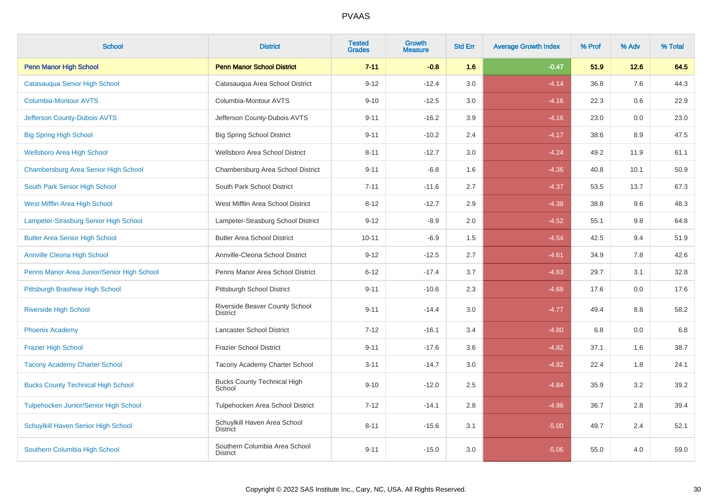| <b>School</b>                              | <b>District</b>                                  | <b>Tested</b><br><b>Grades</b> | <b>Growth</b><br><b>Measure</b> | <b>Std Err</b> | <b>Average Growth Index</b> | % Prof | % Adv   | % Total |
|--------------------------------------------|--------------------------------------------------|--------------------------------|---------------------------------|----------------|-----------------------------|--------|---------|---------|
| <b>Penn Manor High School</b>              | <b>Penn Manor School District</b>                | $7 - 11$                       | $-0.8$                          | 1.6            | $-0.47$                     | 51.9   | 12.6    | 64.5    |
| Catasauqua Senior High School              | Catasauqua Area School District                  | $9 - 12$                       | $-12.4$                         | 3.0            | $-4.14$                     | 36.8   | 7.6     | 44.3    |
| <b>Columbia-Montour AVTS</b>               | Columbia-Montour AVTS                            | $9 - 10$                       | $-12.5$                         | 3.0            | $-4.16$                     | 22.3   | 0.6     | 22.9    |
| Jefferson County-Dubois AVTS               | Jefferson County-Dubois AVTS                     | $9 - 11$                       | $-16.2$                         | 3.9            | $-4.16$                     | 23.0   | $0.0\,$ | 23.0    |
| <b>Big Spring High School</b>              | <b>Big Spring School District</b>                | $9 - 11$                       | $-10.2$                         | 2.4            | $-4.17$                     | 38.6   | 8.9     | 47.5    |
| <b>Wellsboro Area High School</b>          | Wellsboro Area School District                   | $8 - 11$                       | $-12.7$                         | 3.0            | $-4.24$                     | 49.2   | 11.9    | 61.1    |
| Chambersburg Area Senior High School       | Chambersburg Area School District                | $9 - 11$                       | $-6.8$                          | 1.6            | $-4.36$                     | 40.8   | 10.1    | 50.9    |
| South Park Senior High School              | South Park School District                       | $7 - 11$                       | $-11.6$                         | 2.7            | $-4.37$                     | 53.5   | 13.7    | 67.3    |
| West Mifflin Area High School              | West Mifflin Area School District                | $8 - 12$                       | $-12.7$                         | 2.9            | $-4.38$                     | 38.8   | 9.6     | 48.3    |
| Lampeter-Strasburg Senior High School      | Lampeter-Strasburg School District               | $9 - 12$                       | $-8.9$                          | 2.0            | $-4.52$                     | 55.1   | 9.8     | 64.8    |
| <b>Butler Area Senior High School</b>      | <b>Butler Area School District</b>               | $10 - 11$                      | $-6.9$                          | 1.5            | $-4.54$                     | 42.5   | 9.4     | 51.9    |
| <b>Annville Cleona High School</b>         | Annville-Cleona School District                  | $9 - 12$                       | $-12.5$                         | 2.7            | $-4.61$                     | 34.9   | 7.8     | 42.6    |
| Penns Manor Area Junior/Senior High School | Penns Manor Area School District                 | $6 - 12$                       | $-17.4$                         | 3.7            | $-4.63$                     | 29.7   | 3.1     | 32.8    |
| Pittsburgh Brashear High School            | Pittsburgh School District                       | $9 - 11$                       | $-10.6$                         | 2.3            | $-4.68$                     | 17.6   | 0.0     | 17.6    |
| <b>Riverside High School</b>               | Riverside Beaver County School<br>District       | $9 - 11$                       | $-14.4$                         | 3.0            | $-4.77$                     | 49.4   | 8.8     | 58.2    |
| <b>Phoenix Academy</b>                     | <b>Lancaster School District</b>                 | $7 - 12$                       | $-16.1$                         | 3.4            | $-4.80$                     | 6.8    | 0.0     | 6.8     |
| <b>Frazier High School</b>                 | <b>Frazier School District</b>                   | $9 - 11$                       | $-17.6$                         | 3.6            | $-4.82$                     | 37.1   | 1.6     | 38.7    |
| <b>Tacony Academy Charter School</b>       | Tacony Academy Charter School                    | $3 - 11$                       | $-14.7$                         | 3.0            | $-4.82$                     | 22.4   | 1.8     | 24.1    |
| <b>Bucks County Technical High School</b>  | <b>Bucks County Technical High</b><br>School     | $9 - 10$                       | $-12.0$                         | 2.5            | $-4.84$                     | 35.9   | 3.2     | 39.2    |
| Tulpehocken Junior/Senior High School      | Tulpehocken Area School District                 | $7 - 12$                       | $-14.1$                         | 2.8            | $-4.96$                     | 36.7   | 2.8     | 39.4    |
| Schuylkill Haven Senior High School        | Schuylkill Haven Area School<br><b>District</b>  | $8 - 11$                       | $-15.6$                         | 3.1            | $-5.00$                     | 49.7   | 2.4     | 52.1    |
| Southern Columbia High School              | Southern Columbia Area School<br><b>District</b> | $9 - 11$                       | $-15.0$                         | 3.0            | $-5.06$                     | 55.0   | 4.0     | 59.0    |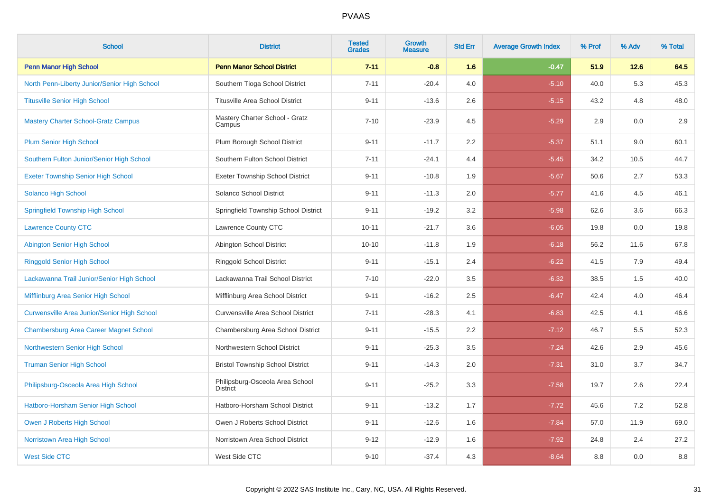| <b>School</b>                                      | <b>District</b>                                    | <b>Tested</b><br><b>Grades</b> | <b>Growth</b><br><b>Measure</b> | <b>Std Err</b> | <b>Average Growth Index</b> | % Prof | % Adv | % Total |
|----------------------------------------------------|----------------------------------------------------|--------------------------------|---------------------------------|----------------|-----------------------------|--------|-------|---------|
| <b>Penn Manor High School</b>                      | <b>Penn Manor School District</b>                  | $7 - 11$                       | $-0.8$                          | 1.6            | $-0.47$                     | 51.9   | 12.6  | 64.5    |
| North Penn-Liberty Junior/Senior High School       | Southern Tioga School District                     | $7 - 11$                       | $-20.4$                         | 4.0            | $-5.10$                     | 40.0   | 5.3   | 45.3    |
| <b>Titusville Senior High School</b>               | <b>Titusville Area School District</b>             | $9 - 11$                       | $-13.6$                         | 2.6            | $-5.15$                     | 43.2   | 4.8   | 48.0    |
| <b>Mastery Charter School-Gratz Campus</b>         | Mastery Charter School - Gratz<br>Campus           | $7 - 10$                       | $-23.9$                         | 4.5            | $-5.29$                     | 2.9    | 0.0   | 2.9     |
| <b>Plum Senior High School</b>                     | Plum Borough School District                       | $9 - 11$                       | $-11.7$                         | 2.2            | $-5.37$                     | 51.1   | 9.0   | 60.1    |
| Southern Fulton Junior/Senior High School          | Southern Fulton School District                    | $7 - 11$                       | $-24.1$                         | 4.4            | $-5.45$                     | 34.2   | 10.5  | 44.7    |
| <b>Exeter Township Senior High School</b>          | <b>Exeter Township School District</b>             | $9 - 11$                       | $-10.8$                         | 1.9            | $-5.67$                     | 50.6   | 2.7   | 53.3    |
| Solanco High School                                | Solanco School District                            | $9 - 11$                       | $-11.3$                         | 2.0            | $-5.77$                     | 41.6   | 4.5   | 46.1    |
| <b>Springfield Township High School</b>            | Springfield Township School District               | $9 - 11$                       | $-19.2$                         | 3.2            | $-5.98$                     | 62.6   | 3.6   | 66.3    |
| <b>Lawrence County CTC</b>                         | Lawrence County CTC                                | $10 - 11$                      | $-21.7$                         | 3.6            | $-6.05$                     | 19.8   | 0.0   | 19.8    |
| <b>Abington Senior High School</b>                 | Abington School District                           | $10 - 10$                      | $-11.8$                         | 1.9            | $-6.18$                     | 56.2   | 11.6  | 67.8    |
| <b>Ringgold Senior High School</b>                 | Ringgold School District                           | $9 - 11$                       | $-15.1$                         | 2.4            | $-6.22$                     | 41.5   | 7.9   | 49.4    |
| Lackawanna Trail Junior/Senior High School         | Lackawanna Trail School District                   | $7 - 10$                       | $-22.0$                         | 3.5            | $-6.32$                     | 38.5   | 1.5   | 40.0    |
| Mifflinburg Area Senior High School                | Mifflinburg Area School District                   | $9 - 11$                       | $-16.2$                         | 2.5            | $-6.47$                     | 42.4   | 4.0   | 46.4    |
| <b>Curwensville Area Junior/Senior High School</b> | Curwensville Area School District                  | $7 - 11$                       | $-28.3$                         | 4.1            | $-6.83$                     | 42.5   | 4.1   | 46.6    |
| <b>Chambersburg Area Career Magnet School</b>      | Chambersburg Area School District                  | $9 - 11$                       | $-15.5$                         | 2.2            | $-7.12$                     | 46.7   | 5.5   | 52.3    |
| Northwestern Senior High School                    | Northwestern School District                       | $9 - 11$                       | $-25.3$                         | 3.5            | $-7.24$                     | 42.6   | 2.9   | 45.6    |
| <b>Truman Senior High School</b>                   | <b>Bristol Township School District</b>            | $9 - 11$                       | $-14.3$                         | 2.0            | $-7.31$                     | 31.0   | 3.7   | 34.7    |
| Philipsburg-Osceola Area High School               | Philipsburg-Osceola Area School<br><b>District</b> | $9 - 11$                       | $-25.2$                         | 3.3            | $-7.58$                     | 19.7   | 2.6   | 22.4    |
| Hatboro-Horsham Senior High School                 | Hatboro-Horsham School District                    | $9 - 11$                       | $-13.2$                         | 1.7            | $-7.72$                     | 45.6   | 7.2   | 52.8    |
| Owen J Roberts High School                         | Owen J Roberts School District                     | $9 - 11$                       | $-12.6$                         | 1.6            | $-7.84$                     | 57.0   | 11.9  | 69.0    |
| Norristown Area High School                        | Norristown Area School District                    | $9 - 12$                       | $-12.9$                         | 1.6            | $-7.92$                     | 24.8   | 2.4   | 27.2    |
| <b>West Side CTC</b>                               | West Side CTC                                      | $9 - 10$                       | $-37.4$                         | 4.3            | $-8.64$                     | 8.8    | 0.0   | 8.8     |